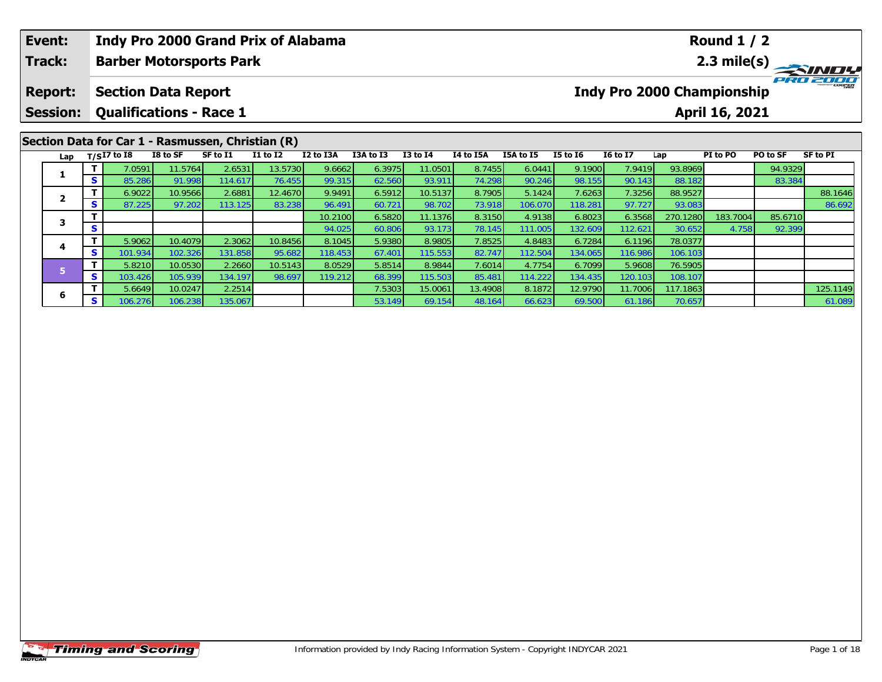|                                                                                                                                                                                                                                       | Event:<br>Track:                  |         |                                                              |         | <b>Indy Pro 2000 Grand Prix of Alabama</b><br><b>Barber Motorsports Park</b> |         |         |        |                  |        |         |         |                                   |          | <b>Round 1 / 2</b> |          | 2.3 mile(s) |
|---------------------------------------------------------------------------------------------------------------------------------------------------------------------------------------------------------------------------------------|-----------------------------------|---------|--------------------------------------------------------------|---------|------------------------------------------------------------------------------|---------|---------|--------|------------------|--------|---------|---------|-----------------------------------|----------|--------------------|----------|-------------|
|                                                                                                                                                                                                                                       | <b>Report:</b><br><b>Session:</b> |         | <b>Section Data Report</b><br><b>Qualifications - Race 1</b> |         |                                                                              |         |         |        |                  |        |         |         | <b>Indy Pro 2000 Championship</b> |          | April 16, 2021     |          | PRO 2000    |
| Section Data for Car 1 - Rasmussen, Christian (R)<br>$T/SI7$ to I8<br>I8 to SF<br>SF to I1<br><b>I1 to I2</b><br>I2 to I3A<br>I3A to I3<br>$I3$ to $I4$<br>I4 to I5A<br>I5A to I5<br><b>I5 to 16</b><br><b>16 to 17</b><br>Lap<br>Lap |                                   |         |                                                              |         |                                                                              |         |         |        |                  |        |         |         |                                   | PI to PO | PO to SF           | SF to PI |             |
|                                                                                                                                                                                                                                       | 1                                 |         | 7.0591                                                       | 11.5764 | 2.6531                                                                       | 13.5730 | 9.6662  | 6.3975 | 11.0501          | 8.7455 | 6.0441  | 9.1900  | 7.9419                            | 93.8969  |                    | 94.9329  |             |
|                                                                                                                                                                                                                                       |                                   | S.      | 85.286                                                       | 91.998  | 114.617                                                                      | 76.455  | 99.315  | 62.560 | 93.911           | 74.298 | 90.246  | 98.155  | 90.143                            | 88.182   |                    | 83.384   |             |
|                                                                                                                                                                                                                                       |                                   | S.      | 6.9022                                                       | 10.9566 | 2.6881                                                                       | 12.4670 | 9.9491  | 6.5912 | 10.5137          | 8.7905 | 5.1424  | 7.6263  | 7.3256                            | 88.9527  |                    |          | 88.1646     |
|                                                                                                                                                                                                                                       | $\mathbf{2}$                      |         | 87.225                                                       | 97.202  | 113.125                                                                      | 83.238  | 96.491  | 60.721 | 98.702           | 73.918 | 106.070 | 118.281 | 97.727                            | 93.083   |                    |          | 86.692      |
|                                                                                                                                                                                                                                       |                                   |         |                                                              |         |                                                                              |         | 10.2100 | 6.5820 | 11.1376          | 8.3150 | 4.9138  | 6.8023  | 6.3568                            | 270.1280 | 183.7004           | 85.6710  |             |
|                                                                                                                                                                                                                                       | 3                                 | S.      |                                                              |         |                                                                              |         | 94.025  | 60.806 | 93.173           | 78.145 | 111.005 | 132.609 | 112.621                           | 30.652   | 4.758              | 92.399   |             |
|                                                                                                                                                                                                                                       |                                   | 4<br>S. | 5.9062                                                       | 10.4079 | 2.3062                                                                       | 10.8456 | 8.1045  | 5.9380 | 8.9805           | 7.8525 | 4.8483  | 6.7284  | 6.1196                            | 78.0377  |                    |          |             |
|                                                                                                                                                                                                                                       |                                   |         | 101.934                                                      | 102.326 | 131.858 <b>1</b>                                                             | 95.682  | 118.453 | 67.401 | 115.553 <b>I</b> | 82.747 | 112.504 | 134.065 | 116.986                           | 106.103  |                    |          |             |

**<sup>T</sup>** 5.6649 10.0247 2.2514 7.5303 15.0061 13.4908 8.1872 12.9790 11.7006 117.1863 125.1149 **<sup>S</sup>** 106.276 106.238 135.067 53.149 69.154 48.164 66.623 69.500 61.186 70.657 61.089

**<sup>T</sup>** 5.8210 10.0530 2.2660 10.5143 8.0529 5.8514 8.9844 7.6014 4.7754 6.7099 5.9608 76.5905 **<sup>S</sup>** 103.426 105.939 134.197 98.697 119.212 68.399 115.503 85.481 114.222 134.435 120.103 108.107

**6**

106.10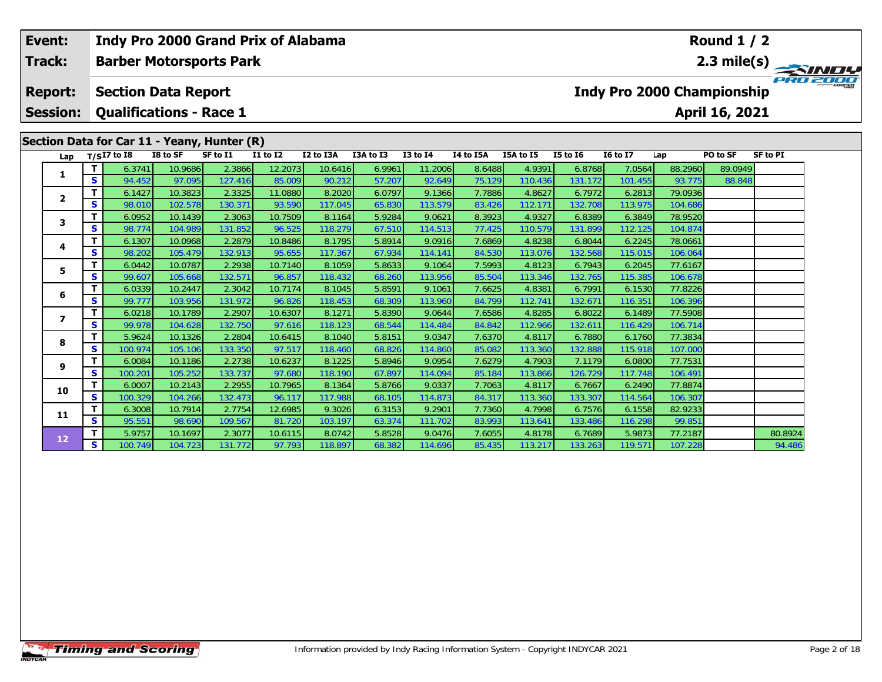| Event:<br>Track:         |   | <b>Indy Pro 2000 Grand Prix of Alabama</b><br><b>Barber Motorsports Park</b> |                    |                   |                                    |                   |                  |                   |                  |                   |                   |                   |                    | <b>Round 1 / 2</b>                | 2.3 mile(s)     |  |
|--------------------------|---|------------------------------------------------------------------------------|--------------------|-------------------|------------------------------------|-------------------|------------------|-------------------|------------------|-------------------|-------------------|-------------------|--------------------|-----------------------------------|-----------------|--|
| <b>Report:</b>           |   | <b>Section Data Report</b>                                                   |                    |                   |                                    |                   |                  |                   |                  |                   |                   |                   |                    | <b>Indy Pro 2000 Championship</b> |                 |  |
| <b>Session:</b>          |   | <b>Qualifications - Race 1</b>                                               |                    |                   |                                    |                   |                  |                   |                  |                   |                   |                   |                    | April 16, 2021                    |                 |  |
|                          |   | Section Data for Car 11 - Yeany, Hunter (R)                                  |                    |                   |                                    |                   |                  |                   |                  |                   |                   |                   |                    |                                   |                 |  |
| Lap                      |   | $T/SI7$ to I8                                                                | I8 to SF           | SF to I1          | $\overline{11}$ to $\overline{12}$ | I2 to I3A         | I3A to I3        | $I3$ to $I4$      | <b>I4 to I5A</b> | I5A to I5         | <b>I5 to 16</b>   | <b>I6 to I7</b>   | Lap                | PO to SF                          | <b>SF to PI</b> |  |
|                          |   | 6.3741                                                                       | 10.9686            | 2.3866            | 12.2073                            | 10.6416           | 6.9961           | 11.2006           | 8.6488           | 4.9391            | 6.8768            | 7.0564            | 88.2960            | 89.0949                           |                 |  |
| 1                        | S | 94.452                                                                       | 97.095             | 127.416           | 85.009                             | 90.212            | 57.207           | 92.649            | 75.129           | 110.436           | 131.172           | 101.455           | 93.775             | 88.848                            |                 |  |
| 2                        | т | 6.1427                                                                       | 10.3823            | 2.3325            | 11.0880                            | 8.2020            | 6.0797           | 9.1366            | 7.7886           | 4.8627            | 6.7972            | 6.2813            | 79.0936            |                                   |                 |  |
|                          | S | 98.010                                                                       | 102.578            | 130.371           | 93.590                             | 117.045           | 65.830           | 113.579           | 83.426           | 112.171           | 132.708           | 113.975           | 104.686            |                                   |                 |  |
| 3                        | т | 6.0952                                                                       | 10.1439            | 2.3063            | 10.7509                            | 8.1164            | 5.9284           | 9.0621            | 8.3923           | 4.9327            | 6.8389            | 6.3849            | 78.9520            |                                   |                 |  |
|                          | s | 98.774                                                                       | 104.989            | 131.852           | 96.525                             | 118.279           | 67.510           | 114.513           | 77.425           | 110.579           | 131.899           | 112.125           | 104.874            |                                   |                 |  |
| 4                        | т | 6.1307                                                                       | 10.0968            | 2.2879            | 10.8486                            | 8.1795            | 5.8914           | 9.0916            | 7.6869           | 4.8238            | 6.8044            | 6.2245            | 78.0661            |                                   |                 |  |
|                          | S | 98.202                                                                       | 105.479            | 132.913           | 95.655                             | 117.367           | 67.934           | 114.141           | 84.530           | 113.076           | 132.568           | 115.015           | 106.064            |                                   |                 |  |
| 5                        | т | 6.0442                                                                       | 10.0787            | 2.2938            | 10.7140                            | 8.1059            | 5.8633           | 9.1064            | 7.5993           | 4.8123            | 6.7943            | 6.2045            | 77.6167            |                                   |                 |  |
|                          | S | 99.607                                                                       | 105.668            | 132.571           | 96.857                             | 118.432           | 68.260           | 113.956           | 85.504           | 113.346           | 132.765           | 115.385           | 106.678            |                                   |                 |  |
| 6                        | s | 6.0339<br>99.777                                                             | 10.2447            | 2.3042            | 10.7174<br>96.826                  | 8.1045            | 5.8591           | 9.1061            | 7.6625           | 4.8381            | 6.7991            | 6.1530            | 77.8226            |                                   |                 |  |
|                          |   | 6.0218                                                                       | 103.956<br>10.1789 | 131.972<br>2.2907 | 10.6307                            | 118.453<br>8.1271 | 68.309<br>5.8390 | 113.960<br>9.0644 | 84.799<br>7.6586 | 112.741<br>4.8285 | 132.671<br>6.8022 | 116.351<br>6.1489 | 106.396<br>77.5908 |                                   |                 |  |
| $\overline{\phantom{a}}$ | S | 99.978                                                                       | 104.628            | 132.750           | 97.616                             | 118.123           | 68.544           | 114.484           | 84.842           | 112.966           | 132.61'           | 116.429           | 106.714            |                                   |                 |  |
|                          | т | 5.9624                                                                       | 10.1326            | 2.2804            | 10.6415                            | 8.1040            | 5.8151           | 9.0347            | 7.6370           | 4.8117            | 6.7880            | 6.1760            | 77.3834            |                                   |                 |  |
| 8                        | S | 100.974                                                                      | 105.106            | 133.350           | 97.517                             | 118.460           | 68.826           | 114.860           | 85.082           | 113.360           | 132.888           | 115.918           | 107.000            |                                   |                 |  |
|                          | т | 6.0084                                                                       | 10.1186            | 2.2738            | 10.6237                            | 8.1225            | 5.8946           | 9.0954            | 7.6279           | 4.7903            | 7.1179            | 6.0800            | 77.7531            |                                   |                 |  |
| 9                        | S | 100.201                                                                      | 105.252            | 133.737           | 97.680                             | 118.190           | 67.897           | 114.094           | 85.184           | 113.866           | 126.729           | 117.748           | 106.491            |                                   |                 |  |
|                          |   | 6.0007                                                                       | 10.2143            | 2.2955            | 10.7965                            | 8.1364            | 5.8766           | 9.0337            | 7.7063           | 4.8117            | 6.7667            | 6.2490            | 77.8874            |                                   |                 |  |
| 10                       | S | 100.329                                                                      | 104.266            | 132.473           | 96.117                             | 117.988           | 68.105           | 114.873           | 84.317           | 113.360           | 133.307           | 114.564           | 106.307            |                                   |                 |  |
|                          | т | 6.3008                                                                       | 10.7914            | 2.7754            | 12.6985                            | 9.3026            | 6.3153           | 9.2901            | 7.7360           | 4.7998            | 6.7576            | 6.1558            | 82.9233            |                                   |                 |  |
| 11                       | S | 95.551                                                                       | 98.690             | 109.567           | 81.720                             | 103.197           | 63.374           | 111.702           | 83.993           | 113.641           | 133.486           | 116.298           | 99.851             |                                   |                 |  |
|                          |   | 5.9757                                                                       | 10.1697            | 2.3077            | 10.6115                            | 8.0742            | 5.8528           | 9.0476            | 7.6055           | 4.8178            | 6.7689            | 5.9873            | 77.2187            |                                   | 80.8924         |  |
| 12                       | S | 100.749                                                                      | 104.723            | 131.772           | 97.793                             | 118.897           | 68.382           | 114.696           | 85.435           | 113.217           | 133.263           | 119.571           | 107.228            |                                   | 94.486          |  |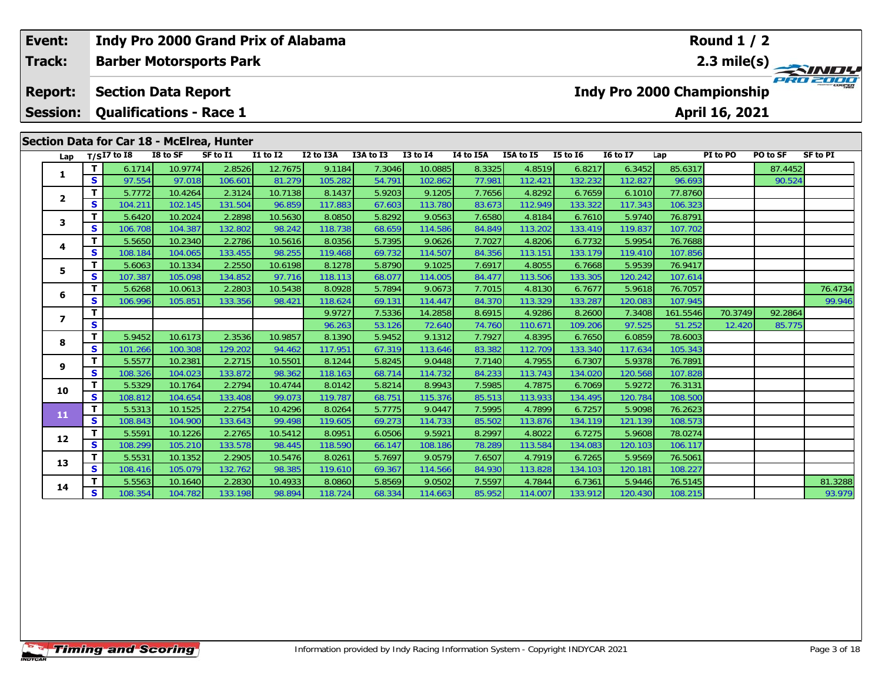| Event:<br><b>Track:</b> |                   |                                | Indy Pro 2000 Grand Prix of Alabama |                                           |                                    |                   |                  |                   |                  |                   |                   |                   | Round $1/2$        |                                   |          |                  |
|-------------------------|-------------------|--------------------------------|-------------------------------------|-------------------------------------------|------------------------------------|-------------------|------------------|-------------------|------------------|-------------------|-------------------|-------------------|--------------------|-----------------------------------|----------|------------------|
|                         |                   |                                |                                     | <b>Barber Motorsports Park</b>            |                                    |                   |                  |                   |                  |                   |                   |                   |                    | $2.3$ mile(s)                     |          | <b>FRIDE THE</b> |
| <b>Report:</b>          |                   | <b>Section Data Report</b>     |                                     |                                           |                                    |                   |                  |                   |                  |                   |                   |                   |                    | <b>Indy Pro 2000 Championship</b> |          |                  |
| <b>Session:</b>         |                   | <b>Qualifications - Race 1</b> |                                     |                                           |                                    |                   |                  |                   |                  |                   |                   |                   |                    | April 16, 2021                    |          |                  |
|                         |                   |                                |                                     | Section Data for Car 18 - McElrea, Hunter |                                    |                   |                  |                   |                  |                   |                   |                   |                    |                                   |          |                  |
| Lap                     |                   | $T/SI7$ to 18                  | I8 to SF                            | SF to I1                                  | $\overline{11}$ to $\overline{12}$ | I2 to I3A         | I3A to I3        | $I3$ to $I4$      | I4 to I5A        | I5A to I5         | <b>I5 to 16</b>   | <b>I6 to I7</b>   | Lap                | PI to PO                          | PO to SF | <b>SF to PI</b>  |
|                         | T                 | 6.1714                         | 10.9774                             | 2.8526                                    | 12.7675                            | 9.1184            | 7.3046           | 10.0885           | 8.3325           | 4.8519            | 6.8217            | 6.3452            | 85.6317            |                                   | 87.4452  |                  |
| 1                       | S                 | 97.554                         | 97.018                              | 106.601                                   | 81.279                             | 105.282           | 54.791           | 102.862           | 77.981           | 112.421           | 132.232           | 112.827           | 96.693             |                                   | 90.524   |                  |
|                         | $\mathbf{T}$      | 5.7772                         | 10.4264                             | 2.3124                                    | 10.7138                            | 8.1437            | 5.9203           | 9.1205            | 7.7656           | 4.8292            | 6.7659            | 6.1010            | 77.8760            |                                   |          |                  |
| $\mathbf{2}$            | S                 | 104.211                        | 102.145                             | 131.504                                   | 96.859                             | 117.883           | 67.603           | 113.780           | 83.673           | 112.949           | 133.322           | 117.343           | 106.323            |                                   |          |                  |
|                         | $\mathbf{T}$      | 5.6420                         | 10.2024                             | 2.2898                                    | 10.5630                            | 8.0850            | 5.8292           | 9.0563            | 7.6580           | 4.8184            | 6.7610            | 5.9740            | 76.8791            |                                   |          |                  |
| 3                       | $\mathbf{s}$      | 106.708                        | 104.387                             | 132.802                                   | 98.242                             | 118.738           | 68.659           | 114.586           | 84.849           | 113.202           | 133.419           | 119.837           | 107.702            |                                   |          |                  |
| 4                       | $\mathbf{T}$      | 5.5650                         | 10.2340                             | 2.2786                                    | 10.5616                            | 8.0356            | 5.7395           | 9.0626            | 7.7027           | 4.8206            | 6.7732            | 5.9954            | 76.7688            |                                   |          |                  |
|                         | <b>S</b>          | 108.184                        | 104.065                             | 133.455                                   | 98.255                             | 119.468           | 69.732           | 114.507           | 84.356           | 113.151           | 133.179           | 119.410           | 107.856            |                                   |          |                  |
| 5.                      | T                 | 5.6063                         | 10.1334                             | 2.2550                                    | 10.6198                            | 8.1278            | 5.8790           | 9.1025            | 7.6917           | 4.8055            | 6.7668            | 5.9539            | 76.9417            |                                   |          |                  |
|                         | S                 | 107.387                        | 105.098                             | 134.852                                   | 97.716                             | 118.113           | 68.077           | 114.005           | 84.477           | 113.506           | 133.305           | 120.242           | 107.614            |                                   |          |                  |
| 6                       | T                 | 5.6268                         | 10.0613                             | 2.2803                                    | 10.5438                            | 8.0928            | 5.7894           | 9.0673            | 7.7015           | 4.8130            | 6.7677            | 5.9618            | 76.7057            |                                   |          | 76.4734          |
|                         | $\mathbf{s}$      | 106.996                        | 105.851                             | 133.356                                   | 98.421                             | 118.624           | 69.131           | 114.447           | 84.370           | 113.329           | 133.287           | 120.083           | 107.945            |                                   |          | 99.946           |
| $\overline{\mathbf{z}}$ | T                 |                                |                                     |                                           |                                    | 9.9727            | 7.5336           | 14.2858           | 8.6915           | 4.9286            | 8.2600            | 7.3408            | 161.5546           | 70.3749                           | 92.2864  |                  |
|                         | S                 |                                |                                     |                                           |                                    | 96.263            | 53.126           | 72.640            | 74.760           | 110.671           | 109.206           | 97.525            | 51.252             | 12.420                            | 85.775   |                  |
| 8                       | $\mathbf T$       | 5.9452                         | 10.6173                             | 2.3536                                    | 10.9857                            | 8.1390            | 5.9452           | 9.1312            | 7.7927           | 4.8395            | 6.7650            | 6.0859            | 78.6003            |                                   |          |                  |
|                         | S                 | 101.266                        | 100.308                             | 129.202                                   | 94.462                             | 117.951           | 67.319           | 113.646           | 83.382           | 112.709           | 133.340           | 117.634           | 105.343            |                                   |          |                  |
| 9                       | T                 | 5.5577                         | 10.2381                             | 2.2715                                    | 10.5501                            | 8.1244            | 5.8245           | 9.0448            | 7.7140           | 4.7955            | 6.7307            | 5.9378            | 76.7891            |                                   |          |                  |
|                         | $\mathbf{s}$      | 108.326                        | 104.023                             | 133.872                                   | 98.362                             | 118.163           | 68.714           | 114.732           | 84.233           | 113.743           | 134.020           | 120.568           | 107.828            |                                   |          |                  |
| 10                      | $\mathbf{T}$      | 5.5329                         | 10.1764                             | 2.2794                                    | 10.4744                            | 8.0142            | 5.8214           | 8.9943            | 7.5985           | 4.7875            | 6.7069            | 5.9272            | 76.3131            |                                   |          |                  |
|                         | S<br>$\mathbf{T}$ | 108.812                        | 104.654                             | 133.408                                   | 99.073                             | 119.787           | 68.751           | 115.376           | 85.513           | 113.933           | 134.495           | 120.784           | 108.500            |                                   |          |                  |
| 11                      | $\mathbf{s}$      | 5.5313<br>108.843              | 10.1525<br>104.900                  | 2.2754<br>133.643                         | 10.4296<br>99.498                  | 8.0264<br>119.605 | 5.7775<br>69.273 | 9.0447<br>114.733 | 7.5995<br>85.502 | 4.7899<br>113.876 | 6.7257<br>134.119 | 5.9098<br>121.139 | 76.2623<br>108.573 |                                   |          |                  |
|                         | T                 | 5.5591                         | 10.1226                             | 2.2765                                    | 10.5412                            | 8.0951            | 6.0506           | 9.5921            | 8.2997           | 4.8022            | 6.7275            | 5.9608            | 78.0274            |                                   |          |                  |
| 12                      | $\mathbf{s}$      | 108.299                        | 105.210                             | 133.578                                   | 98.445                             | 118.590           | 66.147           | 108.186           | 78.289           | 113.584           | 134.083           | 120.103           | 106.117            |                                   |          |                  |
|                         | T                 | 5.5531                         | 10.1352                             | 2.2905                                    | 10.5476                            | 8.0261            | 5.7697           | 9.0579            | 7.6507           | 4.7919            | 6.7265            | 5.9569            | 76.5061            |                                   |          |                  |
| 13                      | S                 | 108.416                        | 105.079                             | 132.762                                   | 98.385                             | 119.610           | 69.367           | 114.566           | 84.930           | 113.828           | 134.103           | 120.181           | 108.227            |                                   |          |                  |
|                         | т                 | 5.5563                         | 10.1640                             | 2.2830                                    | 10.4933                            | 8.0860            | 5.8569           | 9.0502            | 7.5597           | 4.7844            | 6.7361            | 5.9446            | 76.5145            |                                   |          | 81.3288          |
| 14                      | S                 | 108.354                        | 104.782                             | 133.198                                   | 98.894                             | 118.724           | 68.334           | 114.663           | 85.952           | 114.007           | 133.912           | 120.430           | 108.215            |                                   |          | 93.979           |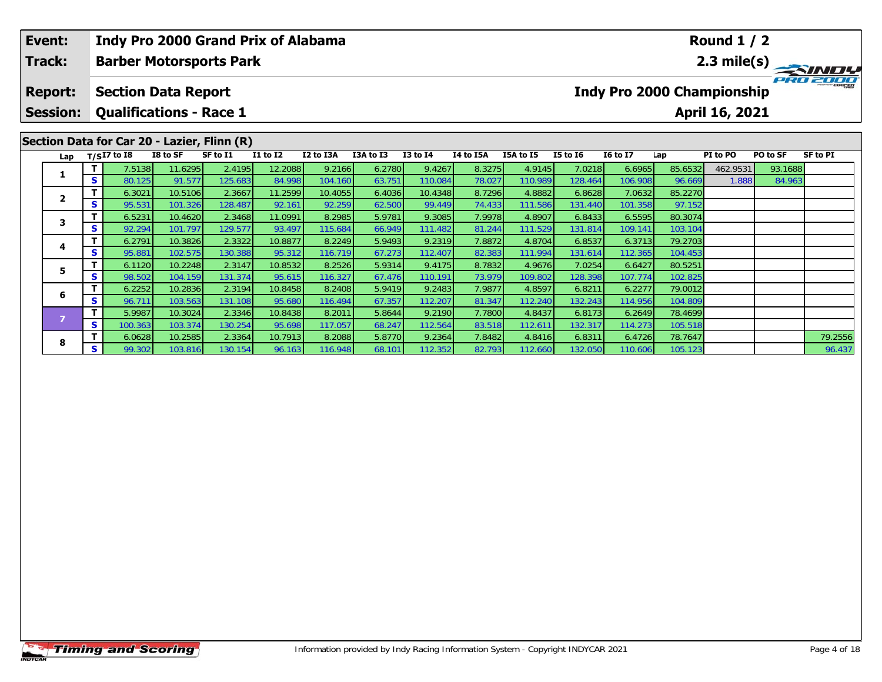| Event: |                 |              |                                |          | Indy Pro 2000 Grand Prix of Alabama         |                 |           |           |                 |           |           |                 |                                   |         | <b>Round 1 / 2</b>    |                                        |                 |
|--------|-----------------|--------------|--------------------------------|----------|---------------------------------------------|-----------------|-----------|-----------|-----------------|-----------|-----------|-----------------|-----------------------------------|---------|-----------------------|----------------------------------------|-----------------|
| Track: |                 |              |                                |          | <b>Barber Motorsports Park</b>              |                 |           |           |                 |           |           |                 |                                   |         |                       | $\frac{2.3 \text{ mile(s)}}{P_{R0}^2}$ |                 |
|        | <b>Report:</b>  |              | <b>Section Data Report</b>     |          |                                             |                 |           |           |                 |           |           |                 | <b>Indy Pro 2000 Championship</b> |         |                       |                                        |                 |
|        | <b>Session:</b> |              | <b>Qualifications - Race 1</b> |          |                                             |                 |           |           |                 |           |           |                 |                                   |         | <b>April 16, 2021</b> |                                        |                 |
|        |                 |              |                                |          | Section Data for Car 20 - Lazier, Flinn (R) |                 |           |           |                 |           |           |                 |                                   |         |                       |                                        |                 |
|        | Lap             |              | $T/SI7$ to I8                  | I8 to SF | SF to I1                                    | <b>I1 to I2</b> | I2 to I3A | I3A to I3 | <b>I3 to I4</b> | I4 to I5A | I5A to I5 | <b>I5 to 16</b> | <b>16 to 17</b>                   | Lap     | PI to PO              | PO to SF                               | <b>SF to PI</b> |
|        | 1               |              | 7.5138                         | 11.6295  | 2.4195                                      | 12.2088         | 9.2166    | 6.2780    | 9.4267          | 8.3275    | 4.9145    | 7.0218          | 6.6965                            | 85.6532 | 462.9531              | 93.1688                                |                 |
|        |                 | S.           | 80.125                         | 91.577   | 125.683                                     | 84.998          | 104.160   | 63.751    | 110.084         | 78.027    | 110.989   | 128.464         | 106.908                           | 96.669  | 1.888                 | 84.963                                 |                 |
|        | $\mathbf{2}$    |              | 6.3021                         | 10.5106  | 2.3667                                      | 11.2599         | 10.4055   | 6.4036    | 10.4348         | 8.7296    | 4.8882    | 6.8628          | 7.0632                            | 85.2270 |                       |                                        |                 |
|        |                 | S.           | 95.531                         | 101.326  | 128.487                                     | 92.161          | 92.259    | 62.500    | 99.449          | 74.433    | 111.586   | 131.440         | 101.358                           | 97.152  |                       |                                        |                 |
|        | 3               |              | 6.5231                         | 10.4620  | 2.3468                                      | 11.0991         | 8.2985    | 5.9781    | 9.3085          | 7.9978    | 4.8907    | 6.8433          | 6.5595                            | 80.3074 |                       |                                        |                 |
|        |                 | S            | 92.294                         | 101.797  | 129.577                                     | 93.497          | 115.684   | 66.949    | 111.482         | 81.244    | 111.529   | 131.814         | 109.141                           | 103.104 |                       |                                        |                 |
|        | 4               |              | 6.2791                         | 10.3826  | 2.3322                                      | 10.8877         | 8.2249    | 5.9493    | 9.2319          | 7.8872    | 4.8704    | 6.8537          | 6.3713                            | 79.2703 |                       |                                        |                 |
|        |                 | S.           | 95.881                         | 102.575  | 130.388                                     | 95.312          | 116.719   | 67.273    | 112.407         | 82.383    | 111.994   | 131.614         | 112.365                           | 104.453 |                       |                                        |                 |
|        | 5               |              | 6.1120                         | 10.2248  | 2.3147                                      | 10.8532         | 8.2526    | 5.9314    | 9.4175          | 8.7832    | 4.9676    | 7.0254          | 6.6427                            | 80.5251 |                       |                                        |                 |
|        |                 | S.           | 98.502                         | 104.159  | 131.374                                     | 95.615          | 116.327   | 67.476    | 110.191         | 73.979    | 109.802   | 128.398         | 107.774                           | 102.825 |                       |                                        |                 |
|        | 6               |              | 6.2252                         | 10.2836  | 2.3194                                      | 10.8458         | 8.2408    | 5.9419    | 9.2483          | 7.9877    | 4.8597    | 6.8211          | 6.2277                            | 79.0012 |                       |                                        |                 |
|        |                 | S.           | 96.711                         | 103.563  | 131.108                                     | 95.680          | 116.494   | 67.357    | 112.207         | 81.347    | 112.240   | 132.243         | 114.956                           | 104.809 |                       |                                        |                 |
|        |                 | $\mathbf{T}$ | 5.9987                         | 10.3024  | 2.3346                                      | 10.8438         | 8.2011    | 5.8644    | 9.2190          | 7.7800    | 4.8437    | 6.8173          | 6.2649                            | 78.4699 |                       |                                        |                 |

**<sup>T</sup>** 6.0628 10.2585 2.3364 10.7913 8.2088 5.8770 9.2364 7.8482 4.8416 6.8311 6.4726 78.7647 79.2556 **<sup>S</sup>** 99.302 103.816 130.154 96.163 116.948 68.101 112.352 82.793 112.660 132.050 110.606 105.123 96.437

**<sup>T</sup>** 5.9987 10.3024 2.3346 10.8438 8.2011 5.8644 9.2190 7.7800 4.8437 6.8173 6.2649 78.4699 **<sup>S</sup>** 100.363 103.374 130.254 95.698 117.057 68.247 112.564 83.518 112.611 132.317 114.273 105.518

**8**

96.437

105.518<br>78.7647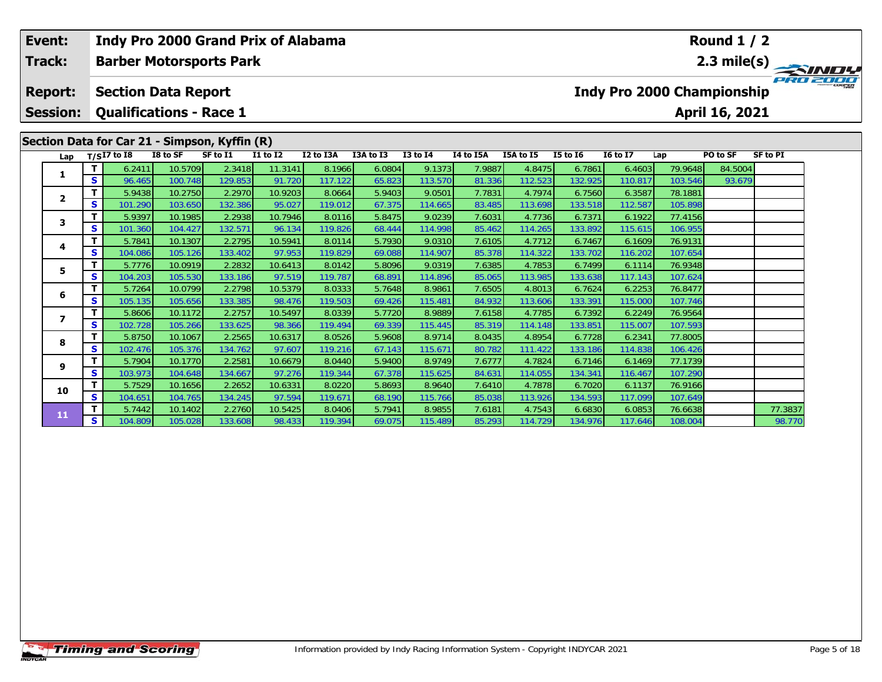| Event:          |        |                                               |                    |                   | <b>Indy Pro 2000 Grand Prix of Alabama</b> |                   |                  |                   |                  |                   |                   |                                   |                    | <b>Round 1 / 2</b> |                                                    |  |
|-----------------|--------|-----------------------------------------------|--------------------|-------------------|--------------------------------------------|-------------------|------------------|-------------------|------------------|-------------------|-------------------|-----------------------------------|--------------------|--------------------|----------------------------------------------------|--|
| Track:          |        | <b>Barber Motorsports Park</b>                |                    |                   |                                            |                   |                  |                   |                  |                   |                   |                                   |                    |                    | $\frac{2.3 \text{ mile(s)}}{P_{R0} \approx 0.048}$ |  |
| <b>Report:</b>  |        | <b>Section Data Report</b>                    |                    |                   |                                            |                   |                  |                   |                  |                   |                   | <b>Indy Pro 2000 Championship</b> |                    |                    |                                                    |  |
| <b>Session:</b> |        | <b>Qualifications - Race 1</b>                |                    |                   |                                            |                   |                  |                   |                  |                   |                   |                                   |                    | April 16, 2021     |                                                    |  |
|                 |        | Section Data for Car 21 - Simpson, Kyffin (R) |                    |                   |                                            |                   |                  |                   |                  |                   |                   |                                   |                    |                    |                                                    |  |
| Lap             |        | $T/SI7$ to I8                                 | I8 to SF           | SF to I1          | I1 to I2                                   | I2 to I3A         | I3A to I3        | <b>I3 to I4</b>   | I4 to I5A        | I5A to I5         | <b>I5 to 16</b>   | <b>I6 to I7</b>                   | Lap                | PO to SF           | <b>SF to PI</b>                                    |  |
| 1               |        | 6.2411                                        | 10.5709            | 2.3418            | 11.3141                                    | 8.1966            | 6.0804           | 9.1373            | 7.9887           | 4.8475            | 6.7861            | 6.4603                            | 79.9648            | 84.5004            |                                                    |  |
|                 | S      | 96.465                                        | 100.748            | 129.853           | 91.720                                     | 117.122           | 65.823           | 113.570           | 81.336           | 112.523           | 132.925           | 110.817                           | 103.546            | 93.679             |                                                    |  |
| $\mathbf{2}$    | т      | 5.9438                                        | 10.2750            | 2.2970            | 10.9203                                    | 8.0664            | 5.9403           | 9.0501            | 7.7831           | 4.7974            | 6.7560            | 6.3587                            | 78.1881            |                    |                                                    |  |
|                 | S      | 101.290                                       | 103.650            | 132.386           | 95.027                                     | 119.012           | 67.375           | 114.665           | 83.485           | 113.698           | 133.518           | 112.587                           | 105.898            |                    |                                                    |  |
| 3               |        | 5.9397                                        | 10.1985            | 2.2938            | 10.7946                                    | 8.0116            | 5.8475           | 9.0239            | 7.6031           | 4.7736            | 6.7371            | 6.1922                            | 77.4156            |                    |                                                    |  |
|                 | S      | 101.360                                       | 104.427            | 132.571           | 96.134                                     | 119.826           | 68.444           | 114.998           | 85.462           | 114.265           | 133.892           | 115.615                           | 106.955            |                    |                                                    |  |
| 4               |        | 5.7841                                        | 10.1307            | 2.2795            | 10.5941                                    | 8.0114            | 5.7930           | 9.0310            | 7.6105           | 4.7712            | 6.7467            | 6.1609                            | 76.9131            |                    |                                                    |  |
|                 | S<br>т | 104.086                                       | 105.126<br>10.0919 | 133.402<br>2.2832 | 97.953<br>10.6413                          | 119.829<br>8.0142 | 69.088<br>5.8096 | 114.907<br>9.0319 | 85.378<br>7.6385 | 114.322<br>4.7853 | 133.702<br>6.7499 | 116.202<br>6.1114                 | 107.654<br>76.9348 |                    |                                                    |  |
| 5               | S      | 5.7776<br>104.203                             | 105.530            | 133.186           | 97.519                                     | 119.787           | 68.891           | 114.896           | 85.065           | 113.985           | 133.638           | 117.143                           | 107.624            |                    |                                                    |  |
|                 | т      | 5.7264                                        | 10.0799            | 2.2798            | 10.5379                                    | 8.0333            | 5.7648           | 8.9861            | 7.6505           | 4.8013            | 6.7624            | 6.2253                            | 76.8477            |                    |                                                    |  |
| 6               | S      | 105.135                                       | 105.656            | 133.385           | 98.476                                     | 119.503           | 69.426           | 115.481           | 84.932           | 113.606           | 133.391           | 115.000                           | 107.746            |                    |                                                    |  |
|                 | т      | 5.8606                                        | 10.1172            | 2.2757            | 10.5497                                    | 8.0339            | 5.7720           | 8.9889            | 7.6158           | 4.7785            | 6.7392            | 6.2249                            | 76.9564            |                    |                                                    |  |
| $\overline{ }$  | s      | 102.728                                       | 105.266            | 133.625           | 98.366                                     | 119.494           | 69.339           | 115.445           | 85.319           | 114.148           | 133.851           | 115.007                           | 107.593            |                    |                                                    |  |
|                 |        | 5.8750                                        | 10.1067            | 2.2565            | 10.6317                                    | 8.0526            | 5.9608           | 8.9714            | 8.0435           | 4.8954            | 6.7728            | 6.2341                            | 77.8005            |                    |                                                    |  |
| 8               | S      | 102.476                                       | 105.376            | 134.762           | 97.607                                     | 119.216           | 67.143           | 115.671           | 80.782           | 111.422           | 133.186           | 114.838                           | 106.426            |                    |                                                    |  |
|                 | т      | 5.7904                                        | 10.1770            | 2.2581            | 10.6679                                    | 8.0440            | 5.9400           | 8.9749            | 7.6777           | 4.7824            | 6.7146            | 6.1469                            | 77.1739            |                    |                                                    |  |
| 9               | S      | 103.973                                       | 104.648            | 134.667           | 97.276                                     | 119.344           | 67.378           | 115.625           | 84.631           | 114.055           | 134.341           | 116.467                           | 107.290            |                    |                                                    |  |
| 10              | т      | 5.7529                                        | 10.1656            | 2.2652            | 10.6331                                    | 8.0220            | 5.8693           | 8.9640            | 7.6410           | 4.7878            | 6.7020            | 6.1137                            | 76.9166            |                    |                                                    |  |
|                 | S      | 104.651                                       | 104.765            | 134.245           | 97.594                                     | 119.671           | 68.190           | 115.766           | 85.038           | 113.926           | 134.593           | 117.099                           | 107.649            |                    |                                                    |  |
| 11              |        | 5.7442                                        | 10.1402            | 2.2760            | 10.5425                                    | 8.0406            | 5.7941           | 8.9855            | 7.6181           | 4.7543            | 6.6830            | 6.0853                            | 76.6638            |                    | 77.3837                                            |  |
|                 | S      | 104.809                                       | 105.028            | 133.608           | 98.433                                     | 119.394           | 69.075           | 115.489           | 85.293           | 114.729           | 134.976           | 117.646                           | 108.004            |                    | 98.770                                             |  |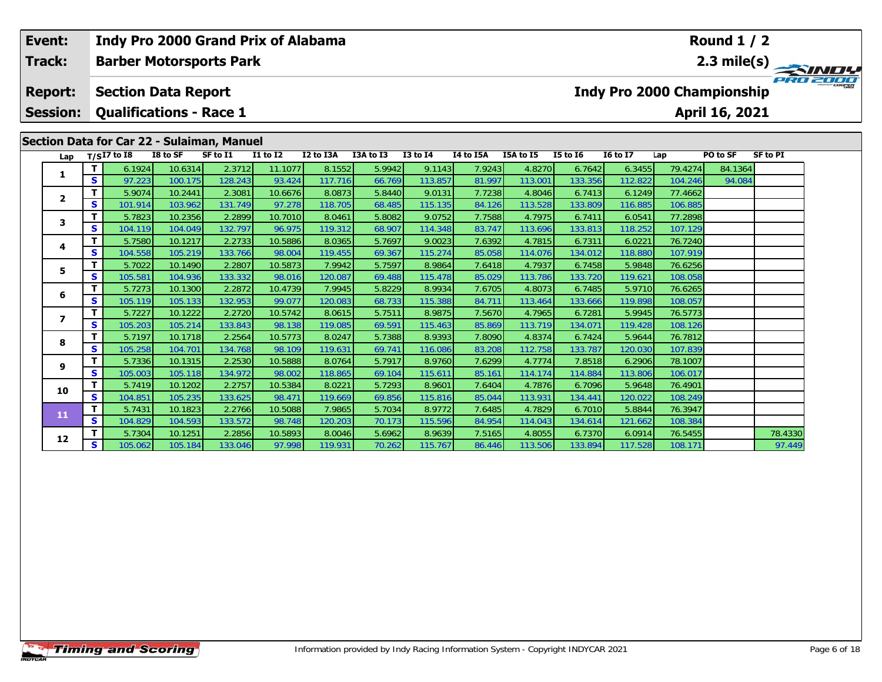| Event:<br><b>Track:</b>           |               |                   | <b>Barber Motorsports Park</b>                                                                             |                   | Indy Pro 2000 Grand Prix of Alabama |                   |                  |                   |                  |                   |                   |                   |                    | <b>Round 1 / 2</b>                                  | 2.3 mile(s)     |
|-----------------------------------|---------------|-------------------|------------------------------------------------------------------------------------------------------------|-------------------|-------------------------------------|-------------------|------------------|-------------------|------------------|-------------------|-------------------|-------------------|--------------------|-----------------------------------------------------|-----------------|
| <b>Report:</b><br><b>Session:</b> |               |                   | <b>Section Data Report</b><br><b>Qualifications - Race 1</b><br>Section Data for Car 22 - Sulaiman, Manuel |                   |                                     |                   |                  |                   |                  |                   |                   |                   |                    | <b>Indy Pro 2000 Championship</b><br>April 16, 2021 |                 |
| Lap                               |               | $T/SI7$ to I8     | I8 to SF                                                                                                   | SF to I1          | <b>I1 to I2</b>                     | I2 to I3A         | I3A to I3        | <b>I3 to I4</b>   | I4 to I5A        | I5A to I5         | <b>I5 to 16</b>   | <b>16 to 17</b>   | Lap                | PO to SF                                            | <b>SF to PI</b> |
|                                   | т             | 6.1924            | 10.6314                                                                                                    | 2.3712            | 11.1077                             | 8.1552            | 5.9942           | 9.1143            | 7.9243           | 4.8270            | 6.7642            | 6.3455            | 79.4274            | 84.1364                                             |                 |
| 1                                 | $\mathbf{s}$  | 97.223            | 100.175                                                                                                    | 128.243           | 93.424                              | 117.716           | 66.769           | 113.857           | 81.997           | 113.001           | 133.356           | 112.822           | 104.246            | 94.084                                              |                 |
|                                   | T             | 5.9074            | 10.2441                                                                                                    | 2.3081            | 10.6676                             | 8.0873            | 5.8440           | 9.0131            | 7.7238           | 4.8046            | 6.7413            | 6.1249            | 77.4662            |                                                     |                 |
| $\mathbf{2}$                      | <b>S</b>      | 101.914           | 103.962                                                                                                    | 131.749           | 97.278                              | 118.705           | 68.485           | 115.135           | 84.126           | 113.528           | 133.809           | 116.885           | 106.885            |                                                     |                 |
| 3                                 | Т             | 5.7823            | 10.2356                                                                                                    | 2.2899            | 10.7010                             | 8.0461            | 5.8082           | 9.0752            | 7.7588           | 4.7975            | 6.7411            | 6.0541            | 77.2898            |                                                     |                 |
|                                   | <b>S</b>      | 104.119           | 104.049                                                                                                    | 132.797           | 96.975                              | 119.312           | 68.907           | 114.348           | 83.747           | 113.696           | 133.813           | 118.252           | 107.129            |                                                     |                 |
| 4                                 | $\mathbf T$   | 5.7580            | 10.1217                                                                                                    | 2.2733            | 10.5886                             | 8.0365            | 5.7697           | 9.0023            | 7.6392           | 4.7815            | 6.7311            | 6.0221            | 76.7240            |                                                     |                 |
|                                   | S             | 104.558           | 105.219                                                                                                    | 133.766           | 98.004                              | 119.455           | 69.367           | 115.274           | 85.058           | 114.076           | 134.012           | 118.880           | 107.919            |                                                     |                 |
| 5                                 | T             | 5.7022            | 10.1490                                                                                                    | 2.2807            | 10.5873                             | 7.9942            | 5.7597           | 8.9864            | 7.6418           | 4.7937            | 6.7458            | 5.9848            | 76.6256            |                                                     |                 |
|                                   | S             | 105.581           | 104.936                                                                                                    | 133.332           | 98.016                              | 120.087           | 69.488           | 115.478           | 85.029           | 113.786           | 133.720           | 119.621           | 108.058            |                                                     |                 |
| 6                                 | т             | 5.7273            | 10.1300                                                                                                    | 2.2872            | 10.4739                             | 7.9945            | 5.8229           | 8.9934            | 7.6705           | 4.8073            | 6.7485            | 5.9710            | 76.6265            |                                                     |                 |
|                                   | $\mathbf{s}$  | 105.119           | 105.133                                                                                                    | 132.953           | 99.077                              | 120.083           | 68.733           | 115.388           | 84.711           | 113.464           | 133.666           | 119.898           | 108.057            |                                                     |                 |
| $\overline{ }$                    | т             | 5.7227            | 10.1222                                                                                                    | 2.2720            | 10.5742                             | 8.0615            | 5.7511           | 8.9875            | 7.5670           | 4.7965            | 6.7281            | 5.9945            | 76.5773            |                                                     |                 |
|                                   | S             | 105.203           | 105.214                                                                                                    | 133.843           | 98.138                              | 119.085           | 69.591           | 115.463           | 85.869           | 113.719           | 134.07            | 119.428           | 108.126            |                                                     |                 |
| 8                                 | $\mathbf{T}$  | 5.7197            | 10.1718                                                                                                    | 2.2564            | 10.5773<br>98.109                   | 8.0247            | 5.7388           | 8.9393            | 7.8090           | 4.8374            | 6.7424            | 5.9644            | 76.7812            |                                                     |                 |
|                                   | <b>S</b><br>Т | 105.258<br>5.7336 | 104.701<br>10.1315                                                                                         | 134.768<br>2.2530 | 10.5888                             | 119.631<br>8.0764 | 69.741<br>5.7917 | 116.086<br>8.9760 | 83.208<br>7.6299 | 112.758<br>4.7774 | 133.787<br>7.8518 | 120.030<br>6.2906 | 107.839<br>78.1007 |                                                     |                 |
| 9                                 | S             | 105.003           | 105.118                                                                                                    | 134.972           | 98.002                              | 118.865           | 69.104           | 115.611           | 85.161           | 114.174           | 114.884           | 113.806           | 106.017            |                                                     |                 |
|                                   | т             | 5.7419            | 10.1202                                                                                                    | 2.2757            | 10.5384                             | 8.0221            | 5.7293           | 8.9601            | 7.6404           | 4.7876            | 6.7096            | 5.9648            | 76.4901            |                                                     |                 |
| 10                                | $\mathbf{s}$  | 104.851           | 105.235                                                                                                    | 133.625           | 98.47                               | 119.669           | 69.856           | 115.816           | 85.044           | 113.931           | 134.441           | 120.022           | 108.249            |                                                     |                 |
|                                   | $\mathbf{T}$  | 5.7431            | 10.1823                                                                                                    | 2.2766            | 10.5088                             | 7.9865            | 5.7034           | 8.9772            | 7.6485           | 4.7829            | 6.7010            | 5.8844            | 76.3947            |                                                     |                 |
| 11                                | S             | 104.829           | 104.593                                                                                                    | 133.572           | 98.748                              | 120.203           | 70.173           | 115.596           | 84.954           | 114.043           | 134.614           | 121.662           | 108.384            |                                                     |                 |
|                                   | т             | 5.7304            | 10.1251                                                                                                    | 2.2856            | 10.5893                             | 8.0046            | 5.6962           | 8.9639            | 7.5165           | 4.8055            | 6.7370            | 6.0914            | 76.5455            |                                                     | 78.4330         |
| 12                                | S             | 105.062           | 105.184                                                                                                    | 133.046           | 97.998                              | 119.931           | 70.262           | 115.767           | 86.446           | 113.506           | 133.894           | 117.528           | 108.171            |                                                     | 97.449          |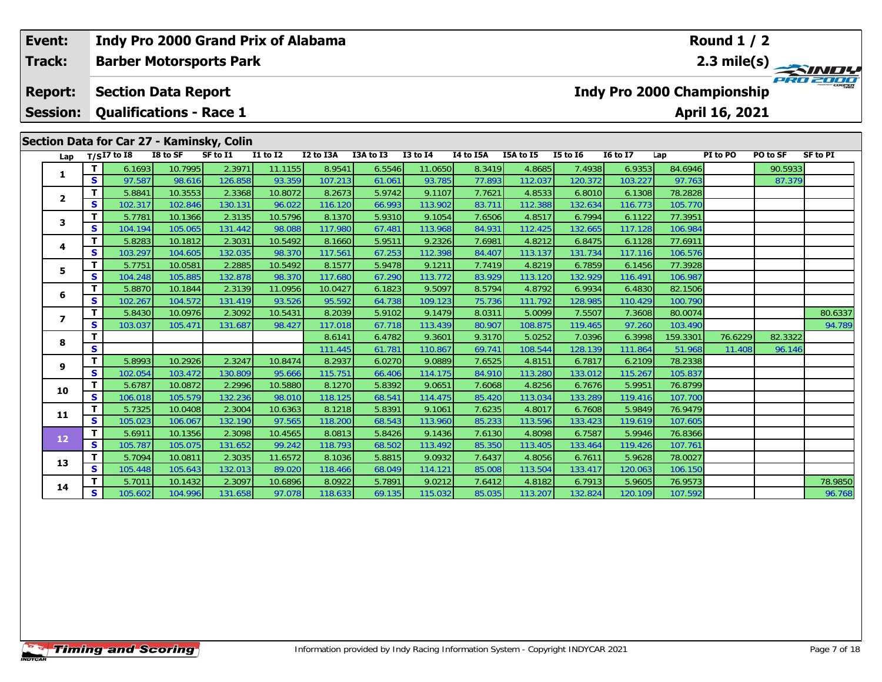| Event:          |                   |                                |                    | Indy Pro 2000 Grand Prix of Alabama       |                                    |                   |                  |                   |                  |                   |                   |                   |                    | Round $1/2$                       |          |                 |
|-----------------|-------------------|--------------------------------|--------------------|-------------------------------------------|------------------------------------|-------------------|------------------|-------------------|------------------|-------------------|-------------------|-------------------|--------------------|-----------------------------------|----------|-----------------|
| Track:          |                   |                                |                    | <b>Barber Motorsports Park</b>            |                                    |                   |                  |                   |                  |                   |                   |                   |                    |                                   |          | 2.3 mile(s)     |
| <b>Report:</b>  |                   | <b>Section Data Report</b>     |                    |                                           |                                    |                   |                  |                   |                  |                   |                   |                   |                    | <b>Indy Pro 2000 Championship</b> |          |                 |
| <b>Session:</b> |                   | <b>Qualifications - Race 1</b> |                    |                                           |                                    |                   |                  |                   |                  |                   |                   |                   |                    | April 16, 2021                    |          |                 |
|                 |                   |                                |                    | Section Data for Car 27 - Kaminsky, Colin |                                    |                   |                  |                   |                  |                   |                   |                   |                    |                                   |          |                 |
| Lap             |                   | $T/SI7$ to I8                  | I8 to SF           | SF to I1                                  | $\overline{11}$ to $\overline{12}$ | I2 to I3A         | I3A to I3        | $I3$ to $I4$      | I4 to I5A        | I5A to I5         | <b>I5 to 16</b>   | <b>I6 to I7</b>   | Lap                | PI to PO                          | PO to SF | <b>SF to PI</b> |
|                 | T                 | 6.1693                         | 10.7995            | 2.397'                                    | 11.1155                            | 8.9541            | 6.5546           | 11.0650           | 8.3419           | 4.8685            | 7.4938            | 6.9353            | 84.6946            |                                   | 90.5933  |                 |
| 1               | $\mathbf{s}$      | 97.587                         | 98.616             | 126.858                                   | 93.359                             | 107.213           | 61.061           | 93.785            | 77.893           | 112.037           | 120.372           | 103.227           | 97.763             |                                   | 87.379   |                 |
|                 | T                 | 5.8841                         | 10.3553            | 2.3368                                    | 10.8072                            | 8.2673            | 5.9742           | 9.1107            | 7.7621           | 4.8533            | 6.8010            | 6.1308            | 78.2828            |                                   |          |                 |
| $\mathbf{2}$    | S                 | 102.317                        | 102.846            | 130.131                                   | 96.022                             | 116.120           | 66.993           | 113.902           | 83.711           | 112.388           | 132.634           | 116.773           | 105.770            |                                   |          |                 |
| 3               | T                 | 5.7781                         | 10.1366            | 2.3135                                    | 10.5796                            | 8.1370            | 5.9310           | 9.1054            | 7.6506           | 4.8517            | 6.7994            | 6.1122            | 77.3951            |                                   |          |                 |
|                 | S                 | 104.194                        | 105.065            | 131.442                                   | 98.088                             | 117.980           | 67.481           | 113.968           | 84.931           | 112.425           | 132.665           | 117.128           | 106.984            |                                   |          |                 |
| 4               | T                 | 5.8283                         | 10.1812            | 2.3031                                    | 10.5492                            | 8.1660            | 5.9511           | 9.2326            | 7.6981           | 4.8212            | 6.8475            | 6.1128            | 77.6911            |                                   |          |                 |
|                 | S                 | 103.297                        | 104.605            | 132.035                                   | 98.370                             | 117.561           | 67.253           | 112.398           | 84.407           | 113.137           | 131.734           | 117.116           | 106.576            |                                   |          |                 |
| 5               | т                 | 5.7751                         | 10.0581            | 2.2885                                    | 10.5492                            | 8.1577            | 5.9478           | 9.1211            | 7.7419           | 4.8219            | 6.7859            | 6.1456            | 77.3928            |                                   |          |                 |
|                 | S                 | 104.248                        | 105.885            | 132.878                                   | 98.370                             | 117.680           | 67.290           | 113.772           | 83.929           | 113.120           | 132.929           | 116.491           | 106.987            |                                   |          |                 |
| 6               | T                 | 5.8870                         | 10.1844            | 2.3139                                    | 11.0956                            | 10.0427           | 6.1823           | 9.5097            | 8.5794           | 4.8792            | 6.9934            | 6.4830            | 82.1506            |                                   |          |                 |
|                 | $\mathbf{s}$      | 102.267                        | 104.572            | 131.419                                   | 93.526                             | 95.592            | 64.738           | 109.123           | 75.736           | 111.792           | 128.985           | 110.429           | 100.790            |                                   |          |                 |
| $\overline{ }$  | $\mathbf T$       | 5.8430                         | 10.0976            | 2.3092                                    | 10.5431                            | 8.2039            | 5.9102           | 9.1479            | 8.0311           | 5.0099            | 7.5507            | 7.3608            | 80.0074            |                                   |          | 80.6337         |
|                 | S                 | 103.037                        | 105.471            | 131.687                                   | 98.427                             | 117.018           | 67.718           | 113.439           | 80.907           | 108.875           | 119.465           | 97.260            | 103.490            |                                   |          | 94.789          |
| 8               | $\mathbf T$       |                                |                    |                                           |                                    | 8.6141            | 6.4782           | 9.3601            | 9.3170           | 5.0252            | 7.0396            | 6.3998            | 159.3301           | 76.6229                           | 82.3322  |                 |
|                 | $\mathbf{s}$      |                                |                    |                                           |                                    | 111.445           | 61.781           | 110.867           | 69.741           | 108.544           | 128.139           | 111.864           | 51.968             | 11.408                            | 96.146   |                 |
| 9               | T<br>$\mathbf{s}$ | 5.8993<br>102.054              | 10.2926<br>103.472 | 2.3247<br>130.809                         | 10.8474<br>95.666                  | 8.2937<br>115.751 | 6.0270           | 9.0889<br>114.175 | 7.6525<br>84.910 | 4.8151<br>113.280 | 6.7817<br>133.012 | 6.2109<br>115.267 | 78.2338<br>105.837 |                                   |          |                 |
|                 | т                 | 5.6787                         | 10.0872            | 2.2996                                    | 10.5880                            | 8.1270            | 66.406<br>5.8392 | 9.0651            | 7.6068           | 4.8256            | 6.7676            | 5.9951            | 76.8799            |                                   |          |                 |
| 10              | S                 | 106.018                        | 105.579            | 132.236                                   | 98.010                             | 118.125           | 68.541           | 114.475           | 85.420           | 113.034           | 133.289           | 119.416           | 107.700            |                                   |          |                 |
|                 | т                 | 5.7325                         | 10.0408            | 2.3004                                    | 10.6363                            | 8.1218            | 5.8391           | 9.1061            | 7.6235           | 4.8017            | 6.7608            | 5.9849            | 76.9479            |                                   |          |                 |
| 11              | S                 | 105.023                        | 106.067            | 132.190                                   | 97.565                             | 118.200           | 68.543           | 113.960           | 85.233           | 113.596           | 133.423           | 119.619           | 107.605            |                                   |          |                 |
|                 | $\mathbf T$       | 5.6911                         | 10.1356            | 2.3098                                    | 10.4565                            | 8.0813            | 5.8426           | 9.1436            | 7.6130           | 4.8098            | 6.7587            | 5.9946            | 76.8366            |                                   |          |                 |
| 12              | S                 | 105.787                        | 105.075            | 131.652                                   | 99.242                             | 118.793           | 68.502           | 113.492           | 85.350           | 113.405           | 133.464           | 119.426           | 107.761            |                                   |          |                 |
|                 | T                 | 5.7094                         | 10.0811            | 2.3035                                    | 11.6572                            | 8.1036            | 5.8815           | 9.0932            | 7.6437           | 4.8056            | 6.7611            | 5.9628            | 78.0027            |                                   |          |                 |
| 13              | S                 | 105.448                        | 105.643            | 132.013                                   | 89.020                             | 118.466           | 68.049           | 114.121           | 85.008           | 113.504           | 133.417           | 120.063           | 106.150            |                                   |          |                 |
|                 |                   | 5.7011                         | 10.1432            | 2.3097                                    | 10.6896                            | 8.0922            | 5.7891           | 9.0212            | 7.6412           | 4.8182            | 6.7913            | 5.9605            | 76.9573            |                                   |          | 78.9850         |
| 14              | S                 | 105.602                        | 104.996            | 131.658                                   | 97.078                             | 118.633           | 69.135           | 115.032           | 85.035           | 113.207           | 132.824           | 120.109           | 107.592            |                                   |          | 96.768          |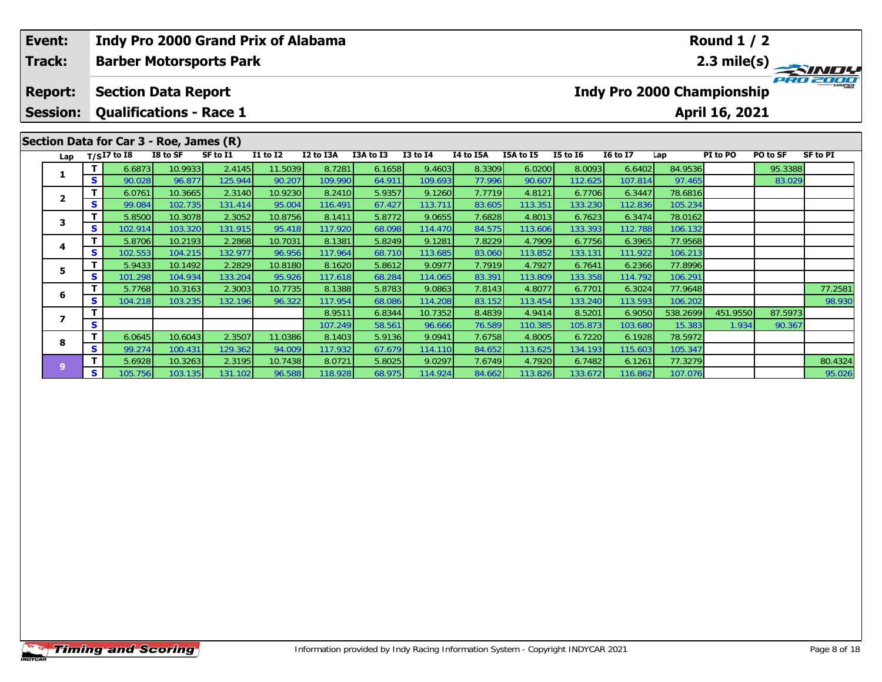|  | Event:<br><b>Track:</b>                                                                                                                                                                                                                                     |         | <b>Barber Motorsports Park</b> |         |                   | <b>Indy Pro 2000 Grand Prix of Alabama</b> |                   |                  |                   |                  |                  |                   |                                   |                   | <b>Round 1 / 2</b> |          | $\frac{2.3 \text{ mile(s)}}{P_{H0}^2 P_{H0}^2}$ |
|--|-------------------------------------------------------------------------------------------------------------------------------------------------------------------------------------------------------------------------------------------------------------|---------|--------------------------------|---------|-------------------|--------------------------------------------|-------------------|------------------|-------------------|------------------|------------------|-------------------|-----------------------------------|-------------------|--------------------|----------|-------------------------------------------------|
|  | <b>Report:</b>                                                                                                                                                                                                                                              |         | <b>Section Data Report</b>     |         |                   |                                            |                   |                  |                   |                  |                  |                   | <b>Indy Pro 2000 Championship</b> |                   |                    |          |                                                 |
|  |                                                                                                                                                                                                                                                             |         |                                |         |                   |                                            |                   |                  |                   |                  |                  |                   |                                   |                   | April 16, 2021     |          |                                                 |
|  | <b>Qualifications - Race 1</b><br><b>Session:</b><br>Section Data for Car 3 - Roe, James (R)<br>$T/SI7$ to I8<br>I8 to SF<br>Lap<br>10.9933<br>6.6873<br>1<br>S<br>90.028<br>96.877<br>T.<br>6.0761<br>10.3665<br>$\overline{2}$<br>S.<br>102.735<br>99.084 |         |                                |         |                   |                                            |                   |                  |                   |                  |                  |                   |                                   |                   |                    |          |                                                 |
|  |                                                                                                                                                                                                                                                             |         |                                |         | SF to I1          | <b>I1 to I2</b>                            | I2 to I3A         | I3A to I3        | <b>I3 to I4</b>   | I4 to I5A        | I5A to I5        | <b>I5 to 16</b>   | <b>16 to 17</b>                   | Lap               | PI to PO           | PO to SF | SF to PI                                        |
|  |                                                                                                                                                                                                                                                             |         |                                |         | 2.4145            | 11.5039                                    | 8.7281            | 6.1658           | 9.4603            | 8.3309           | 6.0200           | 8.0093            | 6.6402                            | 84.9536           |                    | 95.3388  |                                                 |
|  |                                                                                                                                                                                                                                                             |         |                                |         | 125.944<br>2.3140 | 90.207<br>10.9230                          | 109.990<br>8.2410 | 64.911<br>5.9357 | 109.693<br>9.1260 | 77.996<br>7.7719 | 90.607<br>4.8121 | 112.625<br>6.7706 | 107.814<br>6.3447                 | 97.465<br>78.6816 |                    | 83.029   |                                                 |
|  |                                                                                                                                                                                                                                                             |         |                                |         | 131.414           | 95.004                                     | 116.491           | 67.427           | 113.711           | 83.605           | 113.35           | 133.230           | 112.836                           | 105.234           |                    |          |                                                 |
|  |                                                                                                                                                                                                                                                             | T.      | 5.8500                         | 10.3078 | 2.3052            | 10.8756                                    | 8.1411            | 5.8772           | 9.0655            | 7.6828           | 4.8013           | 6.7623            | 6.3474                            | 78.0162           |                    |          |                                                 |
|  | 3                                                                                                                                                                                                                                                           | S       | 102.914                        | 103.320 | 131.915           | 95.418                                     | 117.920           | 68.098           | 114.470           | 84.575           | 113.606          | 133.393           | 112.788                           | 106.132           |                    |          |                                                 |
|  |                                                                                                                                                                                                                                                             |         | 5.8706                         | 10.2193 | 2.2868            | 10.7031                                    | 8.1381            | 5.8249           | 9.1281            | 7.8229           | 4.7909           | 6.7756            | 6.3965                            | 77.9568           |                    |          |                                                 |
|  | 4                                                                                                                                                                                                                                                           | S.      | 102.553                        | 104.215 | 132.977           | 96.956                                     | 117.964           | 68.710           | 113.685           | 83.060           | 113.852          | 133.131           | 111.922                           | 106.213           |                    |          |                                                 |
|  |                                                                                                                                                                                                                                                             | т       | 5.9433                         | 10.1492 | 2.2829            | 10.8180                                    | 8.1620            | 5.8612           | 9.0977            | 7.7919           | 4.7927           | 6.7641            | 6.2366                            | 77.8996           |                    |          |                                                 |
|  | 5                                                                                                                                                                                                                                                           | s       | 101.298                        | 104.934 | 133.204           | 95.926                                     | 117.618           | 68.284           | 114.065           | 83.391           | 113.809          | 133.358           | 114.792                           | 106.291           |                    |          |                                                 |
|  | 6<br>S                                                                                                                                                                                                                                                      |         | 5.7768                         | 10.3163 | 2.3003            | 10.7735                                    | 8.1388            | 5.8783           | 9.0863            | 7.8143           | 4.8077           | 6.7701            | 6.3024                            | 77.9648           |                    |          | 77.2581                                         |
|  |                                                                                                                                                                                                                                                             | 104.218 | 103.235                        | 132.196 | 96.322            | 117.954                                    | 68.086            | 114.208          | 83.152            | 113.454          | 133.240          | 113.593           | 106.202                           |                   |                    | 98.930   |                                                 |
|  | $\overline{\mathbf{z}}$                                                                                                                                                                                                                                     |         |                                |         |                   |                                            | 8.9511            | 6.8344           | 10.7352           | 8.4839           | 4.9414           | 8.5201            | 6.9050                            | 538.2699          | 451.9550           | 87.5973  |                                                 |
|  |                                                                                                                                                                                                                                                             | s       |                                |         |                   |                                            | 107.249           | 58.561           | 96.666            | 76.589           | 110.385          | 105.873           | 103.680                           | 15.383            | 1.934              | 90.367   |                                                 |
|  | 8                                                                                                                                                                                                                                                           |         | 6.0645                         | 10.6043 | 2.3507            | 11.0386                                    | 8.1403            | 5.9136           | 9.0941            | 7.6758           | 4.8005           | 6.7220            | 6.1928                            | 78.5972           |                    |          |                                                 |
|  |                                                                                                                                                                                                                                                             | S.      | 99.274                         | 100.43' | 129.362           | 94.009                                     | 117.932           | 67.679           | 114.110           | 84.652           | 113.625          | 134.193           | 115.603                           | 105.347           |                    |          |                                                 |

**<sup>T</sup>** 5.6928 10.3263 2.3195 10.7438 8.0721 5.8025 9.0297 7.6749 4.7920 6.7482 6.1261 77.3279 80.4324 **<sup>S</sup>** 105.756 103.135 131.102 96.588 118.928 68.975 114.924 84.662 113.826 133.672 116.862 107.076 95.026

**9**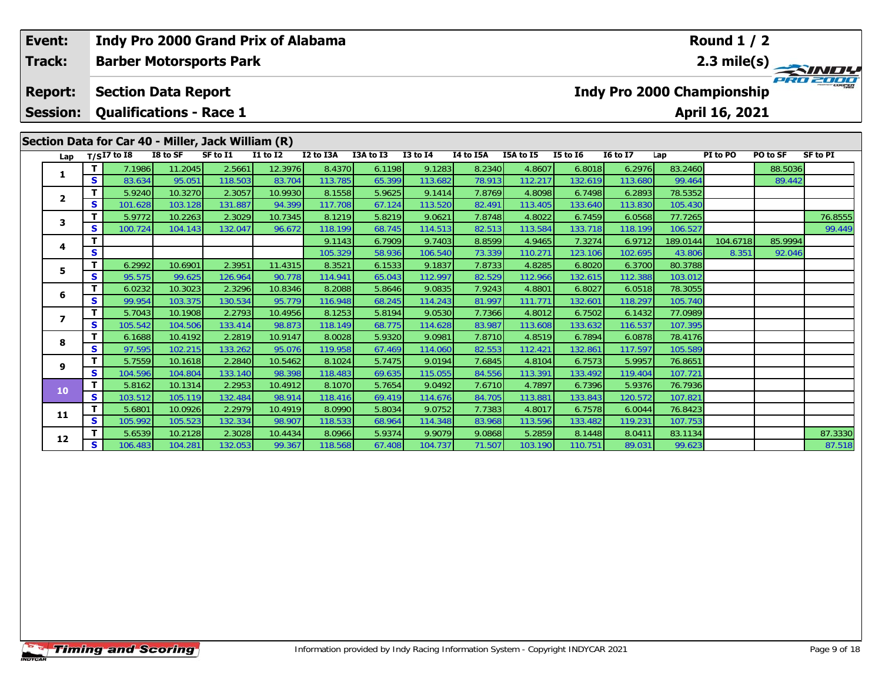| Event:                            |              | Indy Pro 2000 Grand Prix of Alabama                                                                                |                    |                   |                   |                   |                  |                   |                  |                   |                   |                   |                                   | Round $1/2$    |          |                 |
|-----------------------------------|--------------|--------------------------------------------------------------------------------------------------------------------|--------------------|-------------------|-------------------|-------------------|------------------|-------------------|------------------|-------------------|-------------------|-------------------|-----------------------------------|----------------|----------|-----------------|
| <b>Track:</b>                     |              | <b>Barber Motorsports Park</b>                                                                                     |                    |                   |                   |                   |                  |                   |                  |                   |                   |                   |                                   |                |          | 2.3 mile(s)     |
| <b>Report:</b><br><b>Session:</b> |              | <b>Section Data Report</b><br><b>Qualifications - Race 1</b><br>Section Data for Car 40 - Miller, Jack William (R) |                    |                   |                   |                   |                  |                   |                  |                   |                   |                   | <b>Indy Pro 2000 Championship</b> | April 16, 2021 |          |                 |
| Lap                               |              | $T/SI7$ to I8                                                                                                      | I8 to SF           | SF to I1          | $I1$ to $I2$      | I2 to I3A         | I3A to I3        | $I3$ to $I4$      | I4 to I5A        | I5A to I5         | <b>I5 to 16</b>   | <b>I6 to I7</b>   | Lap                               | PI to PO       | PO to SF | <b>SF to PI</b> |
|                                   | т            | 7.1986                                                                                                             | 11.2045            | 2.5661            | 12.3976           | 8.4370            | 6.1198           | 9.1283            | 8.2340           | 4.8607            | 6.8018            | 6.2976            | 83.2460                           |                | 88.5036  |                 |
| 1                                 | S            | 83.634                                                                                                             | 95.051             | 118.503           | 83.704            | 113.785           | 65.399           | 113.682           | 78.913           | 112.217           | 132.619           | 113.680           | 99.464                            |                | 89.442   |                 |
| $\mathbf{2}$                      | т            | 5.9240                                                                                                             | 10.3270            | 2.3057            | 10.9930           | 8.1558            | 5.9625           | 9.1414            | 7.8769           | 4.8098            | 6.7498            | 6.2893            | 78.5352                           |                |          |                 |
|                                   | S            | 101.628                                                                                                            | 103.128            | 131.887           | 94.399            | 117.708           | 67.124           | 113.520           | 82.491           | 113.405           | 133.640           | 113.830           | 105.430                           |                |          |                 |
| 3                                 | т            | 5.9772                                                                                                             | 10.2263            | 2.3029            | 10.7345           | 8.1219            | 5.8219           | 9.0621            | 7.8748           | 4.8022            | 6.7459            | 6.0568            | 77.7265                           |                |          | 76.8555         |
|                                   | S            | 100.724                                                                                                            | 104.143            | 132.047           | 96.672            | 118.199           | 68.745           | 114.513           | 82.513           | 113.584           | 133.718           | 118.199           | 106.527                           |                |          | 99.449          |
| 4                                 | т            |                                                                                                                    |                    |                   |                   | 9.1143            | 6.7909           | 9.7403            | 8.8599           | 4.9465            | 7.3274            | 6.9712            | 189.0144                          | 104.6718       | 85.9994  |                 |
|                                   | S            |                                                                                                                    |                    |                   |                   | 105.329           | 58.936           | 106.540           | 73.339           | 110.271           | 123.106           | 102.695           | 43.806                            | 8.351          | 92.046   |                 |
| 5                                 | т            | 6.2992                                                                                                             | 10.6901            | 2.3951            | 11.4315           | 8.3521            | 6.1533           | 9.1837            | 7.8733           | 4.8285            | 6.8020            | 6.3700            | 80.3788                           |                |          |                 |
|                                   | S            | 95.575                                                                                                             | 99.625             | 126.964           | 90.778            | 114.941           | 65.043           | 112.997           | 82.529           | 112.966           | 132.615           | 112.388           | 103.012                           |                |          |                 |
| 6                                 | т            | 6.0232                                                                                                             | 10.3023            | 2.3296            | 10.8346           | 8.2088            | 5.8646           | 9.0835            | 7.9243           | 4.8801            | 6.8027            | 6.0518            | 78.3055                           |                |          |                 |
|                                   | S            | 99.954                                                                                                             | 103.375            | 130.534           | 95.779            | 116.948           | 68.245           | 114.243           | 81.997           | 111.771           | 132.601           | 118.297           | 105.740                           |                |          |                 |
| 7                                 | т            | 5.7043                                                                                                             | 10.1908            | 2.2793            | 10.4956           | 8.1253            | 5.8194           | 9.0530            | 7.7366           | 4.8012            | 6.7502            | 6.1432            | 77.0989                           |                |          |                 |
|                                   | S<br>т       | 105.542                                                                                                            | 104.506            | 133.414           | 98.873<br>10.9147 | 118.149<br>8.0028 | 68.775           | 114.628           | 83.987           | 113.608           | 133.632           | 116.537           | 107.395                           |                |          |                 |
| 8                                 | S            | 6.1688<br>97.595                                                                                                   | 10.4192<br>102.215 | 2.2819<br>133.262 | 95.076            | 119.958           | 5.9320<br>67.469 | 9.0981<br>114.060 | 7.8710<br>82.553 | 4.8519<br>112.421 | 6.7894<br>132.861 | 6.0878<br>117.597 | 78.4176<br>105.589                |                |          |                 |
|                                   | т            | 5.7559                                                                                                             | 10.1618            | 2.2840            | 10.5462           | 8.1024            | 5.7475           | 9.0194            | 7.6845           | 4.8104            | 6.7573            | 5.9957            | 76.8651                           |                |          |                 |
| 9                                 | S            | 104.596                                                                                                            | 104.804            | 133.140           | 98.398            | 118.483           | 69.635           | 115.055           | 84.556           | 113.391           | 133.492           | 119.404           | 107.721                           |                |          |                 |
|                                   | $\mathbf T$  | 5.8162                                                                                                             | 10.1314            | 2.2953            | 10.4912           | 8.1070            | 5.7654           | 9.0492            | 7.6710           | 4.7897            | 6.7396            | 5.9376            | 76.7936                           |                |          |                 |
| 10                                | $\mathbf{s}$ | 103.512                                                                                                            | 105.119            | 132.484           | 98.914            | 118.416           | 69.419           | 114.676           | 84.705           | 113.881           | 133.843           | 120.572           | 107.821                           |                |          |                 |
|                                   | T.           | 5.6801                                                                                                             | 10.0926            | 2.2979            | 10.4919           | 8.0990            | 5.8034           | 9.0752            | 7.7383           | 4.8017            | 6.7578            | 6.0044            | 76.8423                           |                |          |                 |
| 11                                | S            | 105.992                                                                                                            | 105.523            | 132.334           | 98.907            | 118.533           | 68.964           | 114.348           | 83.968           | 113.596           | 133.482           | 119.231           | 107.753                           |                |          |                 |
|                                   | т            | 5.6539                                                                                                             | 10.2128            | 2.3028            | 10.4434           | 8.0966            | 5.9374           | 9.9079            | 9.0868           | 5.2859            | 8.1448            | 8.0411            | 83.1134                           |                |          | 87.3330         |
| 12                                | S            | 106.483                                                                                                            | 104.281            | 132.053           | 99.367            | 118.568           | 67.408           | 104.737           | 71.507           | 103.190           | 110.751           | 89.031            | 99.623                            |                |          | 87.518          |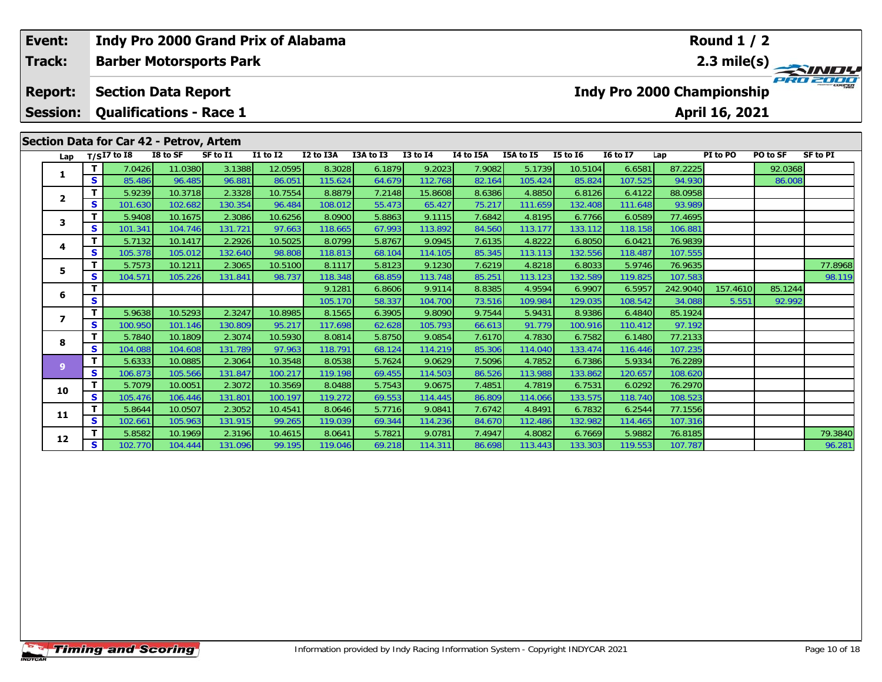| Event:<br>Track:                  |              | Indy Pro 2000 Grand Prix of Alabama<br><b>Barber Motorsports Park</b>                                   |          |          |              |                   |                  |                   |                  |                   |                   |                   |                                   | Round $1/2$       |                   |                 |
|-----------------------------------|--------------|---------------------------------------------------------------------------------------------------------|----------|----------|--------------|-------------------|------------------|-------------------|------------------|-------------------|-------------------|-------------------|-----------------------------------|-------------------|-------------------|-----------------|
| <b>Report:</b><br><b>Session:</b> |              | <b>Section Data Report</b><br><b>Qualifications - Race 1</b><br>Section Data for Car 42 - Petrov, Artem |          |          |              |                   |                  |                   |                  |                   |                   |                   | <b>Indy Pro 2000 Championship</b> | April 16, 2021    |                   | 2.3 mile(s)     |
| Lap                               |              | $T/SI7$ to I8                                                                                           | I8 to SF | SF to I1 | $I1$ to $I2$ | I2 to I3A         | I3A to I3        | $I3$ to $I4$      | I4 to I5A        | I5A to I5         | <b>I5 to 16</b>   | <b>I6 to I7</b>   | Lap                               | PI to PO          | PO to SF          | <b>SF to PI</b> |
| 1                                 | т            | 7.0426                                                                                                  | 11.0380  | 3.1388   | 12.0595      | 8.3028            | 6.1879           | 9.2023            | 7.9082           | 5.1739            | 10.5104           | 6.6581            | 87.2225                           |                   | 92.0368           |                 |
|                                   | S            | 85.486                                                                                                  | 96.485   | 96.881   | 86.051       | 115.624           | 64.679           | 112.768           | 82.164           | 105.424           | 85.824            | 107.525           | 94.930                            |                   | 86.008            |                 |
| $\mathbf{2}$                      | т            | 5.9239                                                                                                  | 10.3718  | 2.3328   | 10.7554      | 8.8879            | 7.2148           | 15.8608           | 8.6386           | 4.8850            | 6.8126            | 6.4122            | 88.0958                           |                   |                   |                 |
|                                   | S            | 101.630                                                                                                 | 102.682  | 130.354  | 96.484       | 108.012           | 55.473           | 65.427            | 75.217           | 111.659           | 132.408           | 111.648           | 93.989                            |                   |                   |                 |
| 3                                 | т            | 5.9408                                                                                                  | 10.1675  | 2.3086   | 10.6256      | 8.0900            | 5.8863           | 9.1115            | 7.6842           | 4.8195            | 6.7766            | 6.0589            | 77.4695                           |                   |                   |                 |
|                                   | S            | 101.341                                                                                                 | 104.746  | 131.721  | 97.663       | 118.665           | 67.993           | 113.892           | 84.560           | 113.177           | 133.112           | 118.158           | 106.881                           |                   |                   |                 |
| 4                                 | T            | 5.7132                                                                                                  | 10.1417  | 2.2926   | 10.5025      | 8.0799            | 5.8767           | 9.0945            | 7.6135           | 4.8222            | 6.8050            | 6.0421            | 76.9839                           |                   |                   |                 |
|                                   | S            | 105.378                                                                                                 | 105.012  | 132.640  | 98.808       | 118.813           | 68.104           | 114.105           | 85.345           | 113.113           | 132.556           | 118.487           | 107.555                           |                   |                   |                 |
| 5                                 | T            | 5.7573                                                                                                  | 10.1211  | 2.3065   | 10.5100      | 8.1117            | 5.8123           | 9.1230            | 7.6219           | 4.8218            | 6.8033            | 5.9746            | 76.9635                           |                   |                   | 77.8968         |
|                                   | S<br>т       | 104.571                                                                                                 | 105.226  | 131.841  | 98.737       | 118.348<br>9.1281 | 68.859           | 113.748<br>9.9114 | 85.251<br>8.8385 | 113.123<br>4.9594 | 132.589           | 119.825           | 107.583                           |                   |                   | 98.119          |
| 6                                 | S            |                                                                                                         |          |          |              | 105.170           | 6.8606<br>58.337 | 104.700           | 73.516           | 109.984           | 6.9907<br>129.035 | 6.5957<br>108.542 | 242.9040<br>34.088                | 157.4610<br>5.551 | 85.1244<br>92.992 |                 |
|                                   | т            | 5.9638                                                                                                  | 10.5293  | 2.3247   | 10.8985      | 8.1565            | 6.3905           | 9.8090            | 9.7544           | 5.9431            | 8.9386            | 6.4840            | 85.1924                           |                   |                   |                 |
| $\overline{ }$                    | S            | 100.950                                                                                                 | 101.146  | 130.809  | 95.217       | 117.698           | 62.628           | 105.793           | 66.613           | 91.779            | 100.916           | 110.412           | 97.192                            |                   |                   |                 |
|                                   | $\mathbf{T}$ | 5.7840                                                                                                  | 10.1809  | 2.3074   | 10.5930      | 8.0814            | 5.8750           | 9.0854            | 7.6170           | 4.7830            | 6.7582            | 6.1480            | 77.2133                           |                   |                   |                 |
| 8                                 | S            | 104.088                                                                                                 | 104.608  | 131.789  | 97.963       | 118.791           | 68.124           | 114.219           | 85.306           | 114.040           | 133.474           | 116.446           | 107.235                           |                   |                   |                 |
|                                   | T.           | 5.6333                                                                                                  | 10.0885  | 2.3064   | 10.3548      | 8.0538            | 5.7624           | 9.0629            | 7.5096           | 4.7852            | 6.7386            | 5.9334            | 76.2289                           |                   |                   |                 |
| 9 <sup>°</sup>                    | <b>S</b>     | 106.873                                                                                                 | 105.566  | 131.847  | 100.217      | 119.198           | 69.455           | 114.503           | 86.526           | 113.988           | 133.862           | 120.657           | 108.620                           |                   |                   |                 |
| 10                                | т            | 5.7079                                                                                                  | 10.0051  | 2.3072   | 10.3569      | 8.0488            | 5.7543           | 9.0675            | 7.4851           | 4.7819            | 6.7531            | 6.0292            | 76.2970                           |                   |                   |                 |
|                                   | S            | 105.476                                                                                                 | 106.446  | 131.801  | 100.197      | 119.272           | 69.553           | 114.445           | 86.809           | 114.066           | 133.575           | 118.740           | 108.523                           |                   |                   |                 |
| 11                                | т            | 5.8644                                                                                                  | 10.0507  | 2.3052   | 10.4541      | 8.0646            | 5.7716           | 9.0841            | 7.6742           | 4.8491            | 6.7832            | 6.2544            | 77.1556                           |                   |                   |                 |
|                                   | S            | 102.661                                                                                                 | 105.963  | 131.915  | 99.265       | 119.039           | 69.344           | 114.236           | 84.670           | 112.486           | 132.982           | 114.465           | 107.316                           |                   |                   |                 |
| 12                                |              | 5.8582                                                                                                  | 10.1969  | 2.3196   | 10.4615      | 8.0641            | 5.7821           | 9.0781            | 7.4947           | 4.8082            | 6.7669            | 5.9882            | 76.8185                           |                   |                   | 79.3840         |
|                                   | S.           | 102.770                                                                                                 | 104,444  | 131.096  | 99.195       | 119,046           | 69.218           | 114,311           | 86.698           | 113.443           | 133.303           | 119.553           | 107.787                           |                   |                   | 96.281          |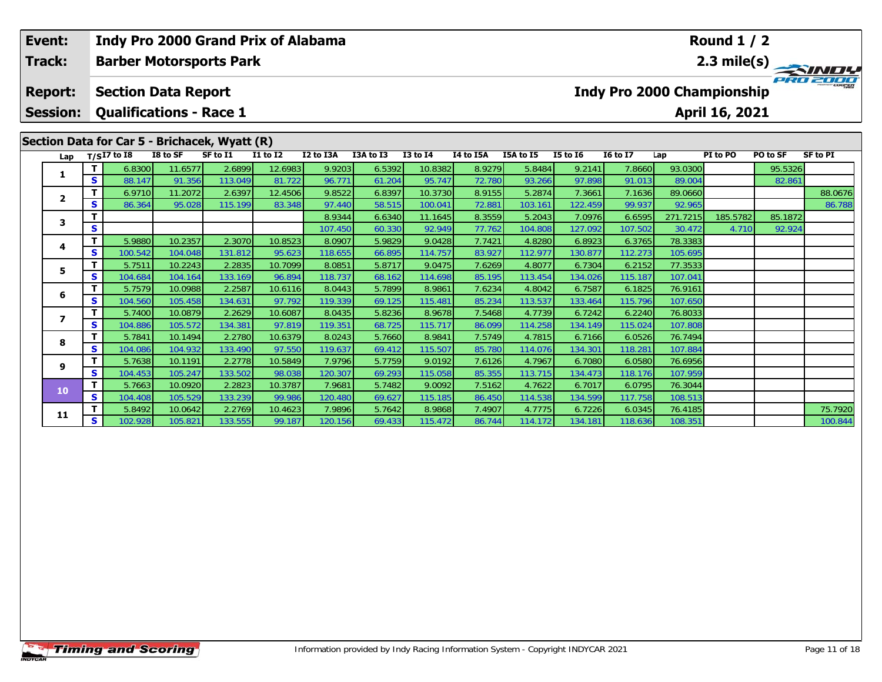| Event:          |             | Indy Pro 2000 Grand Prix of Alabama           |          |          |                 |                   |                  |                  |                  |                   |                   |                                   |                   | <b>Round 1 / 2</b> |          |                 |
|-----------------|-------------|-----------------------------------------------|----------|----------|-----------------|-------------------|------------------|------------------|------------------|-------------------|-------------------|-----------------------------------|-------------------|--------------------|----------|-----------------|
| Track:          |             | <b>Barber Motorsports Park</b>                |          |          |                 |                   |                  |                  |                  |                   |                   |                                   |                   |                    |          | 2.3 mile(s)     |
| <b>Report:</b>  |             | <b>Section Data Report</b>                    |          |          |                 |                   |                  |                  |                  |                   |                   | <b>Indy Pro 2000 Championship</b> |                   |                    |          |                 |
| <b>Session:</b> |             | <b>Qualifications - Race 1</b>                |          |          |                 |                   |                  |                  |                  |                   |                   |                                   |                   | April 16, 2021     |          |                 |
|                 |             | Section Data for Car 5 - Brichacek, Wyatt (R) |          |          |                 |                   |                  |                  |                  |                   |                   |                                   |                   |                    |          |                 |
| Lap             |             | $T/SI7$ to I8                                 | I8 to SF | SF to I1 | <b>I1 to I2</b> | I2 to I3A         | I3A to I3        | <b>I3 to I4</b>  | I4 to I5A        | I5A to I5         | $15$ to $16$      | <b>16 to 17</b>                   | Lap               | PI to PO           | PO to SF | <b>SF to PI</b> |
| 1               |             | 6.8300                                        | 11.6577  | 2.6899   | 12.6983         | 9.9203            | 6.5392           | 10.8382          | 8.9279           | 5.8484            | 9.2141            | 7.8660                            | 93.0300           |                    | 95.5326  |                 |
|                 | S           | 88.147                                        | 91.356   | 113.049  | 81.722          | 96.771            | 61.204           | 95.747           | 72.780           | 93.266            | 97.898            | 91.013                            | 89.004            |                    | 82.861   |                 |
| $\mathbf{2}$    |             | 6.9710                                        | 11.2072  | 2.6397   | 12.4506         | 9.8522            | 6.8397           | 10.3730          | 8.9155           | 5.2874            | 7.3661            | 7.1636                            | 89.0660           |                    |          | 88.0676         |
|                 | S           | 86.364                                        | 95.028   | 115.199  | 83.348          | 97.440            | 58.515           | 100.041          | 72.881           | 103.161           | 122.459           | 99.937                            | 92.965            |                    |          | 86.788          |
| 3.              | S           |                                               |          |          |                 | 8.9344            | 6.6340           | 11.1645          | 8.3559           | 5.2043            | 7.0976            | 6.6595                            | 271.7215          | 185.5782           | 85.1872  |                 |
|                 | $\mathbf T$ | 5.9880                                        | 10.2357  | 2.3070   | 10.8523         | 107.450<br>8.0907 | 60.330<br>5.9829 | 92.949<br>9.0428 | 77.762<br>7.7421 | 104.808<br>4.8280 | 127.092<br>6.8923 | 107.502<br>6.3765                 | 30.472<br>78.3383 | 4.710              | 92.924   |                 |
| 4               | S           | 100.542                                       | 104.048  | 131.812  | 95.623          | 118.655           | 66.895           | 114.757          | 83.927           | 112.977           | 130.877           | 112.273                           | 105.695           |                    |          |                 |
|                 |             | 5.7511                                        | 10.2243  | 2.2835   | 10.7099         | 8.0851            | 5.8717           | 9.0475           | 7.6269           | 4.8077            | 6.7304            | 6.2152                            | 77.3533           |                    |          |                 |
| 5.              | S           | 104.684                                       | 104.164  | 133.169  | 96.894          | 118.737           | 68.162           | 114.698          | 85.195           | 113.454           | 134.026           | 115.187                           | 107.041           |                    |          |                 |
|                 | т           | 5.7579                                        | 10.0988  | 2.2587   | 10.6116         | 8.0443            | 5.7899           | 8.9861           | 7.6234           | 4.8042            | 6.7587            | 6.1825                            | 76.9161           |                    |          |                 |
| 6               | S           | 104.560                                       | 105.458  | 134.631  | 97.792          | 119.339           | 69.125           | 115.481          | 85.234           | 113.537           | 133.464           | 115.796                           | 107.650           |                    |          |                 |
|                 | т           | 5.7400                                        | 10.0879  | 2.2629   | 10.6087         | 8.0435            | 5.8236           | 8.9678           | 7.5468           | 4.7739            | 6.7242            | 6.2240                            | 76.8033           |                    |          |                 |
| $\overline{ }$  | S           | 104.886                                       | 105.572  | 134.381  | 97.819          | 119.351           | 68.725           | 115.717          | 86.099           | 114.258           | 134.149           | 115.024                           | 107.808           |                    |          |                 |
| 8               | Т           | 5.7841                                        | 10.1494  | 2.2780   | 10.6379         | 8.0243            | 5.7660           | 8.9841           | 7.5749           | 4.7815            | 6.7166            | 6.0526                            | 76.7494           |                    |          |                 |
|                 | S           | 104.086                                       | 104.932  | 133.490  | 97.550          | 119.637           | 69.412           | 115.507          | 85.780           | 114.076           | 134.301           | 118.281                           | 107.884           |                    |          |                 |
| 9               | Т           | 5.7638                                        | 10.1191  | 2.2778   | 10.5849         | 7.9796            | 5.7759           | 9.0192           | 7.6126           | 4.7967            | 6.7080            | 6.0580                            | 76.6956           |                    |          |                 |
|                 | S           | 104.453                                       | 105.247  | 133.502  | 98.038          | 120.307           | 69.293           | 115.058          | 85.355           | 113.715           | 134.473           | 118.176                           | 107.959           |                    |          |                 |
| 10              |             | 5.7663                                        | 10.0920  | 2.2823   | 10.3787         | 7.9681            | 5.7482           | 9.0092           | 7.5162           | 4.7622            | 6.7017            | 6.0795                            | 76.3044           |                    |          |                 |
|                 | S           | 104.408                                       | 105.529  | 133.239  | 99.986          | 120.480           | 69.627           | 115.185          | 86.450           | 114.538           | 134.599           | 117.758                           | 108.513           |                    |          |                 |
| 11              |             | 5.8492                                        | 10.0642  | 2.2769   | 10.4623         | 7.9896            | 5.7642           | 8.9868           | 7.4907           | 4.7775            | 6.7226            | 6.0345                            | 76.4185           |                    |          | 75.7920         |
|                 | s.          | 102.928                                       | 105.821  | 133.555  | 99.187          | 120.156           | 69.433           | 115.472          | 86.744           | 114.172           | 134.181           | 118.636                           | 108.351           |                    |          | 100.844         |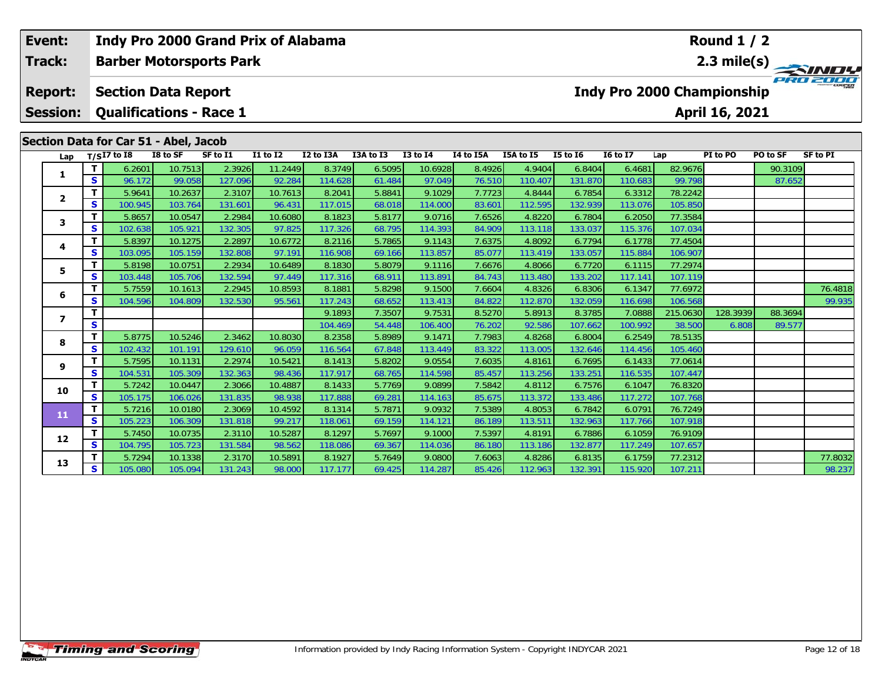| Event:                          |                   |                                       |                                | Indy Pro 2000 Grand Prix of Alabama |                   |                   |                  |                   |                  |                   |                   |                                   |                    | Round $1/2$    |             |                 |
|---------------------------------|-------------------|---------------------------------------|--------------------------------|-------------------------------------|-------------------|-------------------|------------------|-------------------|------------------|-------------------|-------------------|-----------------------------------|--------------------|----------------|-------------|-----------------|
| <b>Track:</b><br><b>Report:</b> |                   |                                       | <b>Barber Motorsports Park</b> |                                     |                   |                   |                  |                   |                  |                   |                   |                                   |                    |                | 2.3 mile(s) |                 |
|                                 |                   | <b>Section Data Report</b>            |                                |                                     |                   |                   |                  |                   |                  |                   |                   | <b>Indy Pro 2000 Championship</b> |                    |                |             |                 |
| <b>Session:</b>                 |                   | <b>Qualifications - Race 1</b>        |                                |                                     |                   |                   |                  |                   |                  |                   |                   |                                   |                    | April 16, 2021 |             |                 |
|                                 |                   | Section Data for Car 51 - Abel, Jacob |                                |                                     |                   |                   |                  |                   |                  |                   |                   |                                   |                    |                |             |                 |
| Lap                             |                   | $T/SI7$ to I8                         | I8 to SF                       | SF to I1                            | <b>I1 to I2</b>   | I2 to I3A         | I3A to I3        | <b>I3 to I4</b>   | I4 to I5A        | I5A to I5         | $I5$ to $I6$      | <b>16 to 17</b>                   | Lap                | PI to PO       | PO to SF    | <b>SF to PI</b> |
|                                 | Т                 | 6.2601                                | 10.7513                        | 2.3926                              | 11.2449           | 8.3749            | 6.5095           | 10.6928           | 8.4926           | 4.9404            | 6.8404            | 6.4681                            | 82.9676            |                | 90.3109     |                 |
| 1                               | $\mathbf{s}$      | 96.172                                | 99.058                         | 127.096                             | 92.284            | 114.628           | 61.484           | 97.049            | 76.510           | 110.407           | 131.870           | 110.683                           | 99.798             |                | 87.652      |                 |
| $\mathbf{2}$                    | T                 | 5.9641                                | 10.2637                        | 2.3107                              | 10.7613           | 8.2041            | 5.8841           | 9.1029            | 7.7723           | 4.8444            | 6.7854            | 6.3312                            | 78.2242            |                |             |                 |
|                                 | <b>S</b>          | 100.945                               | 103.764                        | 131.601                             | 96.431            | 117.015           | 68.018           | 114.000           | 83.601           | 112.595           | 132.939           | 113.076                           | 105.850            |                |             |                 |
| 3                               | T                 | 5.8657                                | 10.0547                        | 2.2984                              | 10.6080           | 8.1823            | 5.8177           | 9.0716            | 7.6526           | 4.8220            | 6.7804            | 6.2050                            | 77.3584            |                |             |                 |
|                                 | $\mathbf{s}$      | 102.638                               | 105.921                        | 132.305                             | 97.825            | 117.326           | 68.795           | 114.393           | 84.909           | 113.118           | 133.037           | 115.376                           | 107.034            |                |             |                 |
| 4                               | $\mathbf{T}$      | 5.8397                                | 10.1275                        | 2.2897                              | 10.6772           | 8.2116            | 5.7865           | 9.1143            | 7.6375           | 4.8092            | 6.7794            | 6.1778                            | 77.4504            |                |             |                 |
|                                 | <b>S</b>          | 103.095                               | 105.159                        | 132.808                             | 97.191            | 116.908           | 69.166           | 113.857           | 85.077           | 113.419           | 133.057           | 115.884                           | 106.907            |                |             |                 |
| 5                               | Т                 | 5.8198                                | 10.0751                        | 2.2934                              | 10.6489           | 8.1830            | 5.8079           | 9.1116            | 7.6676           | 4.8066            | 6.7720            | 6.1115                            | 77.2974            |                |             |                 |
|                                 | $\mathbf{s}$      | 103.448                               | 105.706                        | 132.594                             | 97.449            | 117.316           | 68.911           | 113.891           | 84.743           | 113.480           | 133.202           | 117.141                           | 107.119            |                |             |                 |
| 6                               | $\mathbf{T}$      | 5.7559                                | 10.1613                        | 2.2945                              | 10.8593           | 8.1881            | 5.8298           | 9.1500            | 7.6604           | 4.8326            | 6.8306            | 6.1347                            | 77.6972            |                |             | 76.4818         |
|                                 | $\mathbf{s}$      | 104.596                               | 104.809                        | 132.530                             | 95.561            | 117.243           | 68.652           | 113.413           | 84.822           | 112.870           | 132.059           | 116.698                           | 106.568            |                |             | 99.935          |
| $\overline{ }$                  | T                 |                                       |                                |                                     |                   | 9.1893            | 7.3507           | 9.7531            | 8.5270           | 5.8913            | 8.3785            | 7.0888                            | 215.0630           | 128.3939       | 88.3694     |                 |
|                                 | $\mathbf{s}$      |                                       |                                |                                     |                   | 104.469           | 54.448           | 106.400           | 76.202           | 92.586            | 107.662           | 100.992                           | 38.500             | 6.808          | 89.577      |                 |
| 8                               | $\mathbf T$       | 5.8775                                | 10.5246                        | 2.3462                              | 10.8030           | 8.2358            | 5.8989           | 9.1471            | 7.7983           | 4.8268            | 6.8004            | 6.2549                            | 78.5135            |                |             |                 |
|                                 | $\mathbf{s}$      | 102.432<br>5.7595                     | 101.191                        | 129.610<br>2.2974                   | 96.059<br>10.5421 | 116.564<br>8.1413 | 67.848           | 113.449<br>9.0554 | 83.322<br>7.6035 | 113.005<br>4.8161 | 132.646<br>6.7695 | 114.456<br>6.1433                 | 105.460<br>77.0614 |                |             |                 |
| 9                               | Т<br>$\mathbf{s}$ | 104.531                               | 10.1131<br>105.309             | 132.363                             | 98.436            | 117.917           | 5.8202           | 114.598           | 85.457           | 113.256           | 133.251           | 116.535                           | 107.447            |                |             |                 |
|                                 | T                 | 5.7242                                | 10.0447                        | 2.3066                              | 10.4887           | 8.1433            | 68.765<br>5.7769 | 9.0899            | 7.5842           | 4.8112            | 6.7576            | 6.1047                            | 76.8320            |                |             |                 |
| 10                              | $\mathbf{s}$      | 105.175                               | 106.026                        | 131.835                             | 98.938            | 117.888           | 69.281           | 114.163           | 85.675           | 113.372           | 133.486           | 117.272                           | 107.768            |                |             |                 |
|                                 | $\mathbf{T}$      | 5.7216                                | 10.0180                        | 2.3069                              | 10.4592           | 8.1314            | 5.7871           | 9.0932            | 7.5389           | 4.8053            | 6.7842            | 6.0791                            | 76.7249            |                |             |                 |
| 11                              | $\mathbf{s}$      | 105.223                               | 106.309                        | 131.818                             | 99.217            | 118.061           | 69.159           | 114.121           | 86.189           | 113.511           | 132.963           | 117.766                           | 107.918            |                |             |                 |
|                                 | $\mathbf T$       | 5.7450                                | 10.0735                        | 2.3110                              | 10.5287           | 8.1297            | 5.7697           | 9.1000            | 7.5397           | 4.8191            | 6.7886            | 6.1059                            | 76.9109            |                |             |                 |
| 12                              | <b>S</b>          | 104.795                               | 105.723                        | 131.584                             | 98.562            | 118.086           | 69.367           | 114.036           | 86.180           | 113.186           | 132.877           | 117.249                           | 107.657            |                |             |                 |
|                                 | т                 | 5.7294                                | 10.1338                        | 2.3170                              | 10.5891           | 8.1927            | 5.7649           | 9.0800            | 7.6063           | 4.8286            | 6.8135            | 6.1759                            | 77.2312            |                |             | 77.8032         |
| 13                              | <b>S</b>          | 105.080                               | 105.094                        | 131.243                             | 98,000            | 117.177           | 69.425           | 114,287           | 85.426           | 112.963           | 132.391           | 115,920                           | 107.211            |                |             | 98.237          |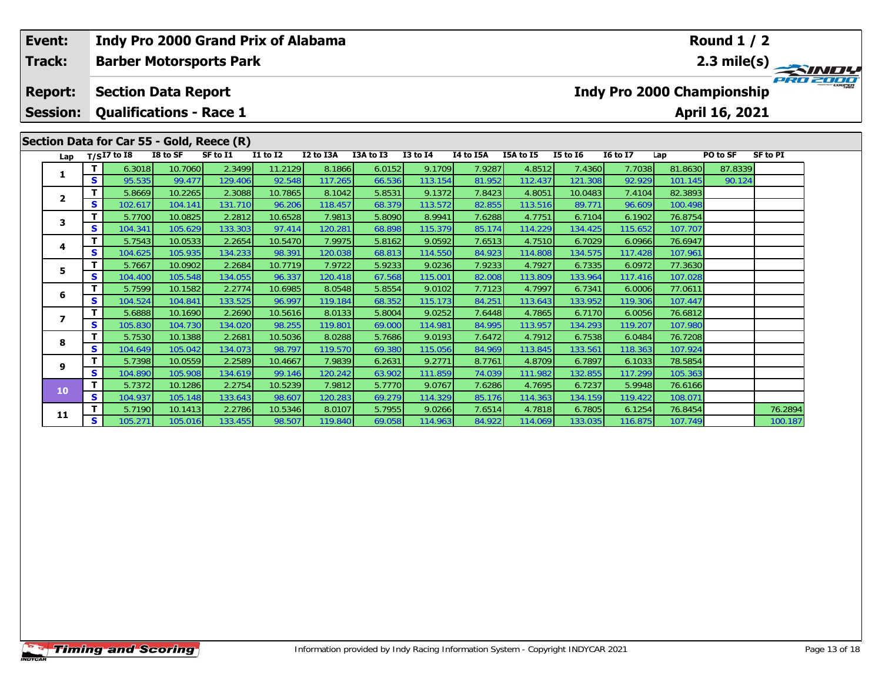| Event:                                                                                                               |                                   |        |                                                              |                    |                                | <b>Indy Pro 2000 Grand Prix of Alabama</b> |                   |                  | <b>Round 1 / 2</b> |                  |                   |                   |                                   |                    |                |         |  |
|----------------------------------------------------------------------------------------------------------------------|-----------------------------------|--------|--------------------------------------------------------------|--------------------|--------------------------------|--------------------------------------------|-------------------|------------------|--------------------|------------------|-------------------|-------------------|-----------------------------------|--------------------|----------------|---------|--|
|                                                                                                                      | Track:                            |        |                                                              |                    | <b>Barber Motorsports Park</b> |                                            |                   |                  |                    |                  |                   |                   |                                   | 2.3 mile(s)        |                |         |  |
|                                                                                                                      | <b>Report:</b><br><b>Session:</b> |        | <b>Section Data Report</b><br><b>Qualifications - Race 1</b> |                    |                                |                                            |                   |                  |                    |                  |                   |                   | <b>Indy Pro 2000 Championship</b> |                    | April 16, 2021 |         |  |
| Section Data for Car 55 - Gold, Reece (R)<br>I2 to I3A<br><b>I3 to I4</b><br><b>SF to PI</b><br>$T/SI7$ to I8<br>Lap |                                   |        |                                                              |                    |                                |                                            |                   |                  |                    |                  |                   |                   |                                   |                    |                |         |  |
|                                                                                                                      | Lap                               |        |                                                              | I8 to SF           | SF to I1                       | <b>I1 to I2</b>                            |                   | I3A to I3        |                    | I4 to I5A        | I5A to I5         | <b>I5 to 16</b>   | <b>I6 to I7</b>                   |                    | PO to SF       |         |  |
|                                                                                                                      | 1                                 |        | 6.3018                                                       | 10.7060            | 2.3499                         | 11.2129                                    | 8.1866            | 6.0152           | 9.1709             | 7.9287           | 4.8512            | 7.4360            | 7.7038                            | 81.8630            | 87.8339        |         |  |
|                                                                                                                      |                                   | S      | 95.535                                                       | 99.477             | 129.406                        | 92.548                                     | 117.265           | 66.536           | 113.154            | 81.952           | 112.437           | 121.308           | 92.929                            | 101.145            | 90.124         |         |  |
|                                                                                                                      | 2                                 |        | 5.8669                                                       | 10.2265            | 2.3088                         | 10.7865                                    | 8.1042            | 5.8531           | 9.1372             | 7.8423           | 4.805             | 10.0483           | 7.4104                            | 82.3893            |                |         |  |
|                                                                                                                      |                                   | S      | 102.617                                                      | 104.141            | 131.710                        | 96.206                                     | 118.457           | 68.379           | 113.572            | 82.855           | 113.516           | 89.771            | 96.609                            | 100.498            |                |         |  |
|                                                                                                                      | 3                                 | т      | 5.7700                                                       | 10.0825            | 2.2812                         | 10.6528                                    | 7.9813            | 5.8090           | 8.9941             | 7.6288           | 4.7751            | 6.7104            | 6.1902                            | 76.8754            |                |         |  |
|                                                                                                                      |                                   | S      | 104.341                                                      | 105.629            | 133.303                        | 97.414                                     | 120.281           | 68.898           | 115.379            | 85.174           | 114.229           | 134.425           | 115.652                           | 107.707            |                |         |  |
|                                                                                                                      | 4                                 | т      | 5.7543                                                       | 10.0533            | 2.2654                         | 10.5470                                    | 7.9975            | 5.8162           | 9.0592             | 7.6513           | 4.7510            | 6.7029            | 6.0966                            | 76.6947            |                |         |  |
|                                                                                                                      |                                   | s      | 104.625                                                      | 105.935            | 134.233                        | 98.391                                     | 120.038           | 68.813           | 114.550            | 84.923           | 114.808           | 134.575           | 117.428                           | 107.961            |                |         |  |
|                                                                                                                      | 5                                 |        | 5.7667                                                       | 10.0902            | 2.2684                         | 10.7719                                    | 7.9722            | 5.9233           | 9.0236             | 7.9233           | 4.7927            | 6.7335            | 6.0972                            | 77.3630            |                |         |  |
|                                                                                                                      |                                   | S      | 104.400                                                      | 105.548            | 134.055                        | 96.337                                     | 120.418           | 67.568           | 115.001            | 82.008           | 113.809           | 133.964           | 117.416                           | 107.028            |                |         |  |
|                                                                                                                      | 6                                 | т<br>S | 5.7599<br>104.524                                            | 10.1582<br>104.841 | 2.2774<br>133.525              | 10.6985<br>96.997                          | 8.0548<br>119.184 | 5.8554<br>68.352 | 9.0102<br>115.173  | 7.7123<br>84.251 | 4.7997<br>113.643 | 6.7341<br>133.952 | 6.0006<br>119.306                 | 77.0611<br>107.447 |                |         |  |
|                                                                                                                      |                                   | т      | 5.6888                                                       | 10.1690            | 2.2690                         | 10.5616                                    | 8.0133            | 5.8004           | 9.0252             | 7.6448           | 4.7865            | 6.7170            | 6.0056                            | 76.6812            |                |         |  |
|                                                                                                                      | 7                                 | S      | 105.830                                                      | 104.730            | 134.020                        | 98.255                                     | 119.801           | 69.000           | 114.981            | 84.995           | 113.957           | 134.293           | 119.207                           | 107.980            |                |         |  |
|                                                                                                                      |                                   |        | 5.7530                                                       | 10.1388            | 2.2681                         | 10.5036                                    | 8.0288            | 5.7686           | 9.0193             | 7.6472           | 4.7912            | 6.7538            | 6.0484                            | 76.7208            |                |         |  |
|                                                                                                                      | 8                                 | S      | 104.649                                                      | 105.042            | 134.073                        | 98.797                                     | 119.570           | 69.380           | 115.056            | 84.969           | 113.845           | 133.561           | 118.363                           | 107.924            |                |         |  |
|                                                                                                                      |                                   |        | 5.7398                                                       | 10.0559            | 2.2589                         | 10.4667                                    | 7.9839            | 6.2631           | 9.2771             | 8.7761           | 4.8709            | 6.7897            | 6.1033                            | 78.5854            |                |         |  |
|                                                                                                                      | 9                                 | S      | 104.890                                                      | 105.908            | 134.619                        | 99.146                                     | 120.242           | 63.902           | 111.859            | 74.039           | 111.982           | 132.855           | 117.299                           | 105.363            |                |         |  |
|                                                                                                                      |                                   | Т      | 5.7372                                                       | 10.1286            | 2.2754                         | 10.5239                                    | 7.9812            | 5.7770           | 9.0767             | 7.6286           | 4.7695            | 6.7237            | 5.9948                            | 76.6166            |                |         |  |
|                                                                                                                      | 10                                | S      | 104.937                                                      | 105.148            | 133.643                        | 98.607                                     | 120.283           | 69.279           | 114.329            | 85.176           | 114.363           | 134.159           | 119.422                           | 108.071            |                |         |  |
|                                                                                                                      |                                   |        | 5.7190                                                       | 10.1413            | 2.2786                         | 10.5346                                    | 8.0107            | 5.7955           | 9.0266             | 7.6514           | 4.7818            | 6.7805            | 6.1254                            | 76.8454            |                | 76.2894 |  |
|                                                                                                                      | 11                                | S      | 105.271                                                      | 105.016            | 133.455                        | 98.507                                     | 119.840           | 69.058           | 114.963            | 84.922           | 114.069           | 133.035           | 116.875                           | 107.749            |                | 100.187 |  |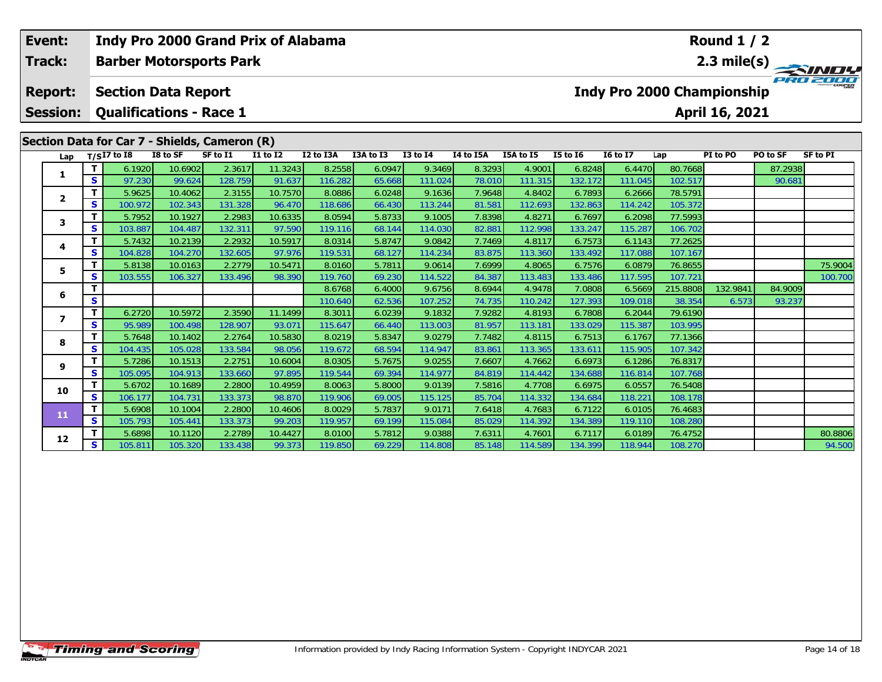| Event:                            |              | <b>Indy Pro 2000 Grand Prix of Alabama</b>                                                                                     |                    |                   |                   |                   | <b>Round 1 / 2</b> |                   |                  |                   |                   |                                                      |                    |                            |                   |                 |
|-----------------------------------|--------------|--------------------------------------------------------------------------------------------------------------------------------|--------------------|-------------------|-------------------|-------------------|--------------------|-------------------|------------------|-------------------|-------------------|------------------------------------------------------|--------------------|----------------------------|-------------------|-----------------|
| Track:                            |              | <b>Barber Motorsports Park</b>                                                                                                 |                    |                   |                   |                   |                    |                   |                  |                   |                   |                                                      |                    |                            |                   | 2.3 mile(s)     |
| <b>Report:</b><br><b>Session:</b> |              | <b>Section Data Report</b><br><b>Qualifications - Race 1</b><br>Section Data for Car 7 - Shields, Cameron (R)<br>$T/SI7$ to I8 | I8 to SF           | SF to I1          | <b>I1 to I2</b>   | I2 to I3A         | I3A to I3          | <b>I3 to I4</b>   | I4 to I5A        | I5A to I5         | $15$ to $16$      | <b>Indy Pro 2000 Championship</b><br><b>16 to 17</b> |                    | April 16, 2021<br>PI to PO | PO to SF          | <b>SF to PI</b> |
| Lap                               |              |                                                                                                                                |                    |                   |                   |                   |                    |                   |                  |                   |                   |                                                      | Lap                |                            |                   |                 |
| 1                                 | т<br>S       | 6.1920<br>97.230                                                                                                               | 10.6902<br>99.624  | 2.3617<br>128.759 | 11.3243<br>91.637 | 8.2558<br>116.282 | 6.0947<br>65.668   | 9.3469<br>111.024 | 8.3293<br>78.010 | 4.9001<br>111.315 | 6.8248<br>132.172 | 6.4470<br>111.045                                    | 80.7668<br>102.517 |                            | 87.2938<br>90.681 |                 |
|                                   | т            | 5.9625                                                                                                                         | 10.4062            | 2.3155            | 10.7570           | 8.0886            | 6.0248             | 9.1636            | 7.9648           | 4.8402            | 6.7893            | 6.2666                                               | 78.5791            |                            |                   |                 |
| $\mathbf{2}$                      | S            | 100.972                                                                                                                        | 102.343            | 131.328           | 96.470            | 118.686           | 66.430             | 113.244           | 81.581           | 112.693           | 132.863           | 114.242                                              | 105.372            |                            |                   |                 |
|                                   | T            | 5.7952                                                                                                                         | 10.1927            | 2.2983            | 10.6335           | 8.0594            | 5.8733             | 9.1005            | 7.8398           | 4.8271            | 6.7697            | 6.2098                                               | 77.5993            |                            |                   |                 |
| 3                                 | S            | 103.887                                                                                                                        | 104.487            | 132.311           | 97.590            | 119.116           | 68.144             | 114.030           | 82.881           | 112.998           | 133.247           | 115.287                                              | 106.702            |                            |                   |                 |
|                                   | т            | 5.7432                                                                                                                         | 10.2139            | 2.2932            | 10.5917           | 8.0314            | 5.8747             | 9.0842            | 7.7469           | 4.8117            | 6.7573            | 6.1143                                               | 77.2625            |                            |                   |                 |
| 4                                 | S            | 104.828                                                                                                                        | 104.270            | 132.605           | 97.976            | 119.531           | 68.127             | 114.234           | 83.875           | 113.360           | 133.492           | 117.088                                              | 107.167            |                            |                   |                 |
| 5                                 | т            | 5.8138                                                                                                                         | 10.0163            | 2.2779            | 10.5471           | 8.0160            | 5.7811             | 9.0614            | 7.6999           | 4.8065            | 6.7576            | 6.0879                                               | 76.8655            |                            |                   | 75.9004         |
|                                   | S            | 103.555                                                                                                                        | 106.327            | 133.496           | 98.390            | 119.760           | 69.230             | 114.522           | 84.387           | 113.483           | 133.486           | 117.595                                              | 107.721            |                            |                   | 100.700         |
| 6                                 | т            |                                                                                                                                |                    |                   |                   | 8.6768            | 6.4000             | 9.6756            | 8.6944           | 4.9478            | 7.0808            | 6.5669                                               | 215.8808           | 132.9841                   | 84.9009           |                 |
|                                   | S            |                                                                                                                                |                    |                   |                   | 110.640           | 62.536             | 107.252           | 74.735           | 110.242           | 127.393           | 109.018                                              | 38.354             | 6.573                      | 93.237            |                 |
| $\overline{\mathbf{z}}$           | т            | 6.2720                                                                                                                         | 10.5972            | 2.3590            | 11.1499           | 8.3011            | 6.0239             | 9.1832            | 7.9282           | 4.8193            | 6.7808            | 6.2044                                               | 79.6190            |                            |                   |                 |
|                                   | S            | 95.989                                                                                                                         | 100.498            | 128.907           | 93.071            | 115.647           | 66.440             | 113.003           | 81.957           | 113.181           | 133.029           | 115.387                                              | 103.995            |                            |                   |                 |
| 8                                 | T            | 5.7648                                                                                                                         | 10.1402            | 2.2764            | 10.5830           | 8.0219            | 5.8347             | 9.0279            | 7.7482           | 4.8115            | 6.7513            | 6.1767                                               | 77.1366            |                            |                   |                 |
|                                   | S<br>T       | 104.435<br>5.7286                                                                                                              | 105.028<br>10.1513 | 133.584<br>2.2751 | 98.056<br>10.6004 | 119.672<br>8.0305 | 68.594<br>5.7675   | 114.947<br>9.0255 | 83.861<br>7.6607 | 113.365<br>4.7662 | 133.611<br>6.6973 | 115.905<br>6.1286                                    | 107.342<br>76.8317 |                            |                   |                 |
| 9                                 | S            | 105.095                                                                                                                        | 104.913            | 133.660           | 97.895            | 119.544           | 69.394             | 114.977           | 84.819           | 114.442           | 134.688           | 116.814                                              | 107.768            |                            |                   |                 |
|                                   | T            | 5.6702                                                                                                                         | 10.1689            | 2.2800            | 10.4959           | 8.0063            | 5.8000             | 9.0139            | 7.5816           | 4.7708            | 6.6975            | 6.0557                                               | 76.5408            |                            |                   |                 |
| 10                                | S            | 106.177                                                                                                                        | 104.731            | 133.373           | 98.870            | 119.906           | 69.005             | 115.125           | 85.704           | 114.332           | 134.684           | 118.221                                              | 108.178            |                            |                   |                 |
|                                   | $\mathbf{T}$ | 5.6908                                                                                                                         | 10.1004            | 2.2800            | 10.4606           | 8.0029            | 5.7837             | 9.0171            | 7.6418           | 4.7683            | 6.7122            | 6.0105                                               | 76.4683            |                            |                   |                 |
| 11                                | S            | 105.793                                                                                                                        | 105.441            | 133.373           | 99.203            | 119.957           | 69.199             | 115.084           | 85.029           | 114.392           | 134.389           | 119.110                                              | 108.280            |                            |                   |                 |
|                                   | т            | 5.6898                                                                                                                         | 10.1120            | 2.2789            | 10.4427           | 8.0100            | 5.7812             | 9.0388            | 7.6311           | 4.7601            | 6.7117            | 6.0189                                               | 76.4752            |                            |                   | 80.8806         |
| 12                                | S            | 105.811                                                                                                                        | 105.320            | 133.438           | 99.373            | 119.850           | 69.229             | 114.808           | 85.148           | 114.589           | 134.399           | 118.944                                              | 108.270            |                            |                   | 94.500          |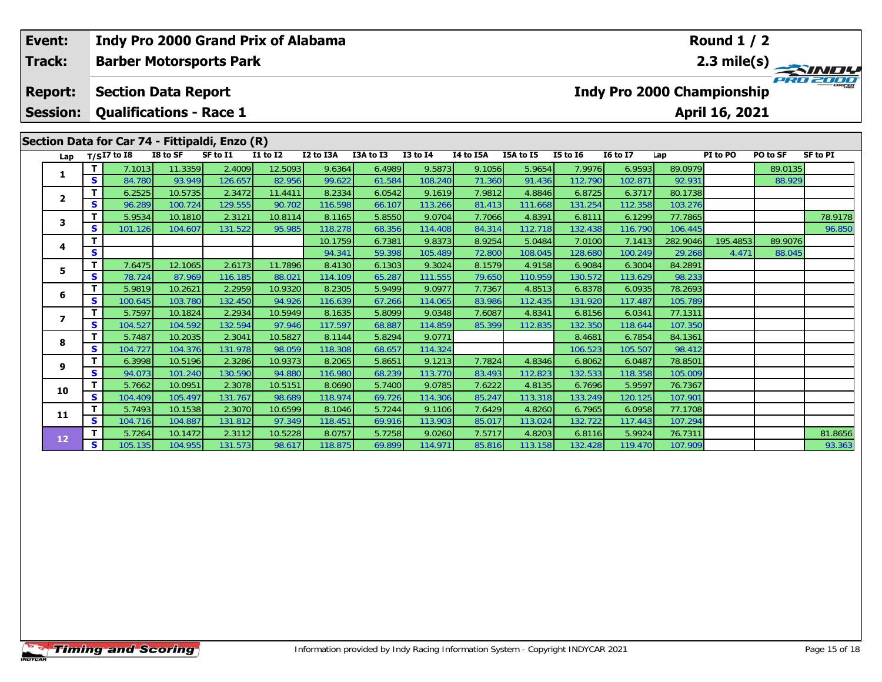| Track:                                                                                  |              | Indy Pro 2000 Grand Prix of Alabama<br><b>Barber Motorsports Park</b> |                   |                   |                   |                   | Round $1/2$<br>2.3 mile(s) |                   |                  |                   |                   |                                   |                   |                |          |                 |
|-----------------------------------------------------------------------------------------|--------------|-----------------------------------------------------------------------|-------------------|-------------------|-------------------|-------------------|----------------------------|-------------------|------------------|-------------------|-------------------|-----------------------------------|-------------------|----------------|----------|-----------------|
| Event:<br><b>Session:</b><br>Section Data for Car 74 - Fittipaldi, Enzo (R)<br>Lap<br>1 |              |                                                                       |                   |                   |                   |                   |                            |                   |                  |                   |                   |                                   |                   |                |          |                 |
| <b>Report:</b>                                                                          |              | <b>Section Data Report</b>                                            |                   |                   |                   |                   |                            |                   |                  |                   |                   | <b>Indy Pro 2000 Championship</b> |                   |                |          |                 |
|                                                                                         |              | <b>Qualifications - Race 1</b>                                        |                   |                   |                   |                   |                            |                   |                  |                   |                   |                                   |                   | April 16, 2021 |          |                 |
|                                                                                         |              |                                                                       |                   |                   |                   |                   |                            |                   |                  |                   |                   |                                   |                   |                |          |                 |
|                                                                                         |              | $T/SI7$ to I8                                                         | I8 to SF          | SF to I1          | $I1$ to $I2$      | I2 to I3A         | I3A to I3                  | <b>I3 to I4</b>   | I4 to I5A        | I5A to I5         | <b>I5 to 16</b>   | <b>I6 to I7</b>                   | Lap               | PI to PO       | PO to SF | <b>SF to PI</b> |
|                                                                                         | T            | 7.1013                                                                | 11.3359           | 2.4009            | 12.5093           | 9.6364            | 6.4989                     | 9.5873            | 9.1056           | 5.9654            | 7.9976            | 6.9593                            | 89.0979           |                | 89.0135  |                 |
|                                                                                         | S            | 84.780                                                                | 93.949            | 126.657           | 82.956            | 99.622            | 61.584                     | 108.240           | 71.360           | 91.436            | 112.790           | 102.871                           | 92.931            |                | 88.929   |                 |
| $\overline{\mathbf{2}}$                                                                 | T            | 6.2525                                                                | 10.5735           | 2.3472            | 11.4411           | 8.2334            | 6.0542                     | 9.1619            | 7.9812           | 4.8846            | 6.8725            | 6.3717                            | 80.1738           |                |          |                 |
|                                                                                         | S            | 96.289                                                                | 100.724           | 129.555           | 90.702            | 116.598           | 66.107                     | 113.266           | 81.413           | 111.668           | 131.254           | 112.358                           | 103.276           |                |          |                 |
| 3                                                                                       | $\mathbf{T}$ | 5.9534                                                                | 10.1810           | 2.3121            | 10.8114           | 8.1165            | 5.8550                     | 9.0704            | 7.7066           | 4.8391            | 6.8111            | 6.1299                            | 77.7865           |                |          | 78.9178         |
|                                                                                         | S            | 101.126                                                               | 104.607           | 131.522           | 95.985            | 118.278           | 68.356                     | 114.408           | 84.314           | 112.718           | 132.438           | 116.790                           | 106.445           |                |          | 96.850          |
| 4                                                                                       | $\mathbf T$  |                                                                       |                   |                   |                   | 10.1759           | 6.7381                     | 9.8373            | 8.9254           | 5.0484            | 7.0100            | 7.1413                            | 282.9046          | 195.4853       | 89.9076  |                 |
|                                                                                         | $\mathbf{s}$ |                                                                       |                   |                   |                   | 94.341            | 59.398                     | 105.489           | 72.800           | 108.045           | 128.680           | 100.249                           | 29.268            | 4.47'          | 88.045   |                 |
| 5                                                                                       | $\mathbf{T}$ | 7.6475                                                                | 12.1065           | 2.6173            | 11.7896           | 8.4130            | 6.1303                     | 9.3024            | 8.1579           | 4.9158            | 6.9084            | 6.3004                            | 84.2891           |                |          |                 |
|                                                                                         | S<br>T       | 78.724<br>5.9819                                                      | 87.969<br>10.2621 | 116.185<br>2.2959 | 88.021<br>10.9320 | 114.109<br>8.2305 | 65.287<br>5.9499           | 111.555<br>9.0977 | 79.650<br>7.7367 | 110.959<br>4.8513 | 130.572           | 113.629<br>6.0935                 | 98.233<br>78.2693 |                |          |                 |
| 6                                                                                       | S            | 100.645                                                               | 103.780           | 132.450           | 94.926            | 116.639           | 67.266                     | 114.065           | 83.986           | 112.435           | 6.8378<br>131.920 | 117.487                           | 105.789           |                |          |                 |
|                                                                                         | T            | 5.7597                                                                | 10.1824           | 2.2934            | 10.5949           | 8.1635            | 5.8099                     | 9.0348            | 7.6087           | 4.8341            | 6.8156            | 6.0341                            | 77.1311           |                |          |                 |
| $\overline{\mathbf{z}}$                                                                 | $\mathbf{s}$ | 104.527                                                               | 104.592           | 132.594           | 97.946            | 117.597           | 68.887                     | 114.859           | 85.399           | 112.835           | 132.350           | 118.644                           | 107.350           |                |          |                 |
|                                                                                         | $\mathbf{T}$ | 5.7487                                                                | 10.2035           | 2.3041            | 10.5827           | 8.1144            | 5.8294                     | 9.0771            |                  |                   | 8.4681            | 6.7854                            | 84.1361           |                |          |                 |
| 8                                                                                       | $\mathbf{s}$ | 104.727                                                               | 104.376           | 131.978           | 98.059            | 118.308           | 68.657                     | 114.324           |                  |                   | 106.523           | 105.507                           | 98.412            |                |          |                 |
|                                                                                         | T            | 6.3998                                                                | 10.5196           | 2.3286            | 10.9373           | 8.2065            | 5.8651                     | 9.1213            | 7.7824           | 4.8346            | 6.8062            | 6.0487                            | 78.8501           |                |          |                 |
| 9                                                                                       | S            | 94.073                                                                | 101.240           | 130.590           | 94.880            | 116.980           | 68.239                     | 113.770           | 83.493           | 112.823           | 132.533           | 118.358                           | 105.009           |                |          |                 |
|                                                                                         | $\mathbf{T}$ | 5.7662                                                                | 10.0951           | 2.3078            | 10.5151           | 8.0690            | 5.7400                     | 9.0785            | 7.6222           | 4.8135            | 6.7696            | 5.9597                            | 76.7367           |                |          |                 |
| 10                                                                                      | $\mathbf{s}$ | 104.409                                                               | 105.497           | 131.767           | 98.689            | 118.974           | 69.726                     | 114.306           | 85.247           | 113.318           | 133.249           | 120.125                           | 107.901           |                |          |                 |
| 11                                                                                      | $\mathbf T$  | 5.7493                                                                | 10.1538           | 2.3070            | 10.6599           | 8.1046            | 5.7244                     | 9.1106            | 7.6429           | 4.8260            | 6.7965            | 6.0958                            | 77.1708           |                |          |                 |
|                                                                                         | $\mathbf{s}$ | 104.716                                                               | 104.887           | 131.812           | 97.349            | 118.451           | 69.916                     | 113.903           | 85.017           | 113.024           | 132.722           | 117.443                           | 107.294           |                |          |                 |
| 12                                                                                      | $\mathbf{T}$ | 5.7264                                                                | 10.1472           | 2.3112            | 10.5228           | 8.0757            | 5.7258                     | 9.0260            | 7.5717           | 4.8203            | 6.8116            | 5.9924                            | 76.7311           |                |          | 81.8656         |
|                                                                                         | S            | 105.135                                                               | 104.955           | 131.573           | 98.617            | 118.875           | 69.899                     | 114,971           | 85.816           | 113.158           | 132.428           | 119,470                           | 107.909           |                |          | 93.363          |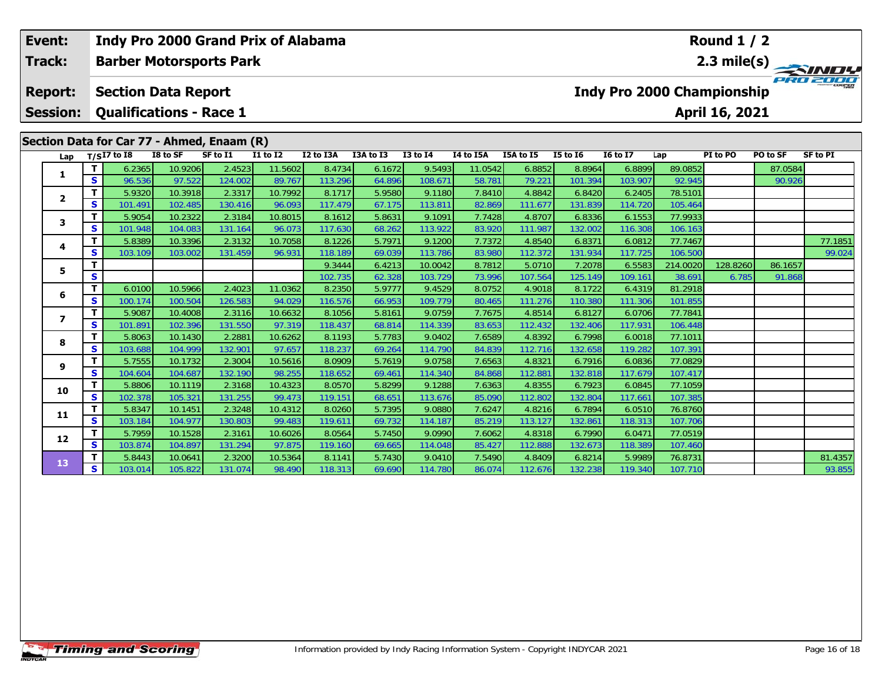| Event:                                     |                 |                   | Indy Pro 2000 Grand Prix of Alabama |                    |          |                 |                   | Round $1/2$      |                                                  |                  |                   |                   |                   |                   |                |          |                 |
|--------------------------------------------|-----------------|-------------------|-------------------------------------|--------------------|----------|-----------------|-------------------|------------------|--------------------------------------------------|------------------|-------------------|-------------------|-------------------|-------------------|----------------|----------|-----------------|
|                                            | Track:          |                   | <b>Barber Motorsports Park</b>      |                    |          |                 |                   |                  |                                                  |                  |                   |                   |                   |                   |                |          |                 |
|                                            | <b>Report:</b>  |                   | <b>Section Data Report</b>          |                    |          |                 |                   |                  | 2.3 mile(s)<br><b>Indy Pro 2000 Championship</b> |                  |                   |                   |                   |                   |                |          |                 |
|                                            | <b>Session:</b> |                   | <b>Qualifications - Race 1</b>      |                    |          |                 |                   |                  |                                                  |                  |                   |                   |                   |                   | April 16, 2021 |          |                 |
| Section Data for Car 77 - Ahmed, Enaam (R) |                 |                   |                                     |                    |          |                 |                   |                  |                                                  |                  |                   |                   |                   |                   |                |          |                 |
|                                            | Lap             |                   | $T/SI7$ to I8                       | I8 to SF           | SF to I1 | <b>I1 to I2</b> | I2 to I3A         | I3A to I3        | <b>I3 to I4</b>                                  | I4 to I5A        | I5A to I5         | <b>I5 to 16</b>   | <b>I6 to I7</b>   | Lap               | PI to PO       | PO to SF | <b>SF to PI</b> |
|                                            | 1               | т                 | 6.2365                              | 10.9206            | 2.4523   | 11.5602         | 8.4734            | 6.1672           | 9.5493                                           | 11.0542          | 6.8852            | 8.8964            | 6.8899            | 89.0852           |                | 87.0584  |                 |
|                                            |                 | $\mathbf{s}$      | 96.536                              | 97.522             | 124.002  | 89.767          | 113.296           | 64.896           | 108.671                                          | 58.781           | 79.221            | 101.394           | 103.907           | 92.945            |                | 90.926   |                 |
|                                            | $\mathbf{2}$    | T                 | 5.9320                              | 10.3918            | 2.3317   | 10.7992         | 8.1717            | 5.9580           | 9.1180                                           | 7.8410           | 4.8842            | 6.8420            | 6.2405            | 78.5101           |                |          |                 |
|                                            |                 | S                 | 101.491                             | 102.485            | 130.416  | 96.093          | 117.479           | 67.175           | 113.811                                          | 82.869           | 111.677           | 131.839           | 114.720           | 105.464           |                |          |                 |
|                                            | 3               | т                 | 5.9054                              | 10.2322            | 2.3184   | 10.8015         | 8.1612            | 5.8631           | 9.1091                                           | 7.7428           | 4.8707            | 6.8336            | 6.1553            | 77.9933           |                |          |                 |
|                                            |                 | $\mathbf{s}$      | 101.948                             | 104.083            | 131.164  | 96.073          | 117.630           | 68.262           | 113.922                                          | 83.920           | 111.987           | 132.002           | 116.308           | 106.163           |                |          |                 |
|                                            | 4               | т                 | 5.8389                              | 10.3396            | 2.3132   | 10.7058         | 8.1226            | 5.7971           | 9.1200                                           | 7.7372           | 4.8540            | 6.8371            | 6.0812            | 77.7467           |                |          | 77.1851         |
|                                            |                 | S                 | 103.109                             | 103.002            | 131.459  | 96.931          | 118.189           | 69.039           | 113.786                                          | 83.980           | 112.372           | 131.934           | 117.725           | 106.500           |                |          | 99.024          |
|                                            | 5               | т                 |                                     |                    |          |                 | 9.3444            | 6.4213           | 10.0042                                          | 8.7812           | 5.0710            | 7.2078            | 6.5583            | 214.0020          | 128.8260       | 86.1657  |                 |
|                                            |                 | S                 |                                     |                    | 2.4023   | 11.0362         | 102.735           | 62.328           | 103.729                                          | 73.996           | 107.564           | 125.149           | 109.161           | 38.691<br>81.2918 | 6.785          | 91.868   |                 |
|                                            | 6               | T<br>$\mathbf{s}$ | 6.0100<br>100.174                   | 10.5966<br>100.504 | 126.583  | 94.029          | 8.2350<br>116.576 | 5.9777<br>66.953 | 9.4529<br>109.779                                | 8.0752<br>80.465 | 4.9018<br>111.276 | 8.1722<br>110.380 | 6.4319<br>111.306 | 101.855           |                |          |                 |
|                                            |                 | т                 | 5.9087                              | 10.4008            | 2.3116   | 10.6632         | 8.1056            | 5.8161           | 9.0759                                           | 7.7675           | 4.8514            | 6.8127            | 6.0706            | 77.7841           |                |          |                 |
|                                            | $\overline{ }$  | $\mathbf{s}$      | 101.891                             | 102.396            | 131.550  | 97.319          | 118.437           | 68.814           | 114.339                                          | 83.653           | 112.432           | 132.406           | 117.931           | 106.448           |                |          |                 |
|                                            |                 | $\mathbf T$       | 5.8063                              | 10.1430            | 2.2881   | 10.6262         | 8.1193            | 5.7783           | 9.0402                                           | 7.6589           | 4.8392            | 6.7998            | 6.0018            | 77.1011           |                |          |                 |
|                                            | 8               | S                 | 103.688                             | 104.999            | 132.901  | 97.657          | 118.237           | 69.264           | 114.790                                          | 84.839           | 112.716           | 132.658           | 119.282           | 107.391           |                |          |                 |
|                                            |                 | Т                 | 5.7555                              | 10.1732            | 2.3004   | 10.5616         | 8.0909            | 5.7619           | 9.0758                                           | 7.6563           | 4.8321            | 6.7916            | 6.0836            | 77.0829           |                |          |                 |
|                                            | 9               | $\mathbf{s}$      | 104.604                             | 104.687            | 132.190  | 98.255          | 118.652           | 69.461           | 114.340                                          | 84.868           | 112.881           | 132.818           | 117.679           | 107.417           |                |          |                 |
|                                            |                 | $\mathbf T$       | 5.8806                              | 10.1119            | 2.3168   | 10.4323         | 8.0570            | 5.8299           | 9.1288                                           | 7.6363           | 4.8355            | 6.7923            | 6.0845            | 77.1059           |                |          |                 |
|                                            | 10              | $\mathbf{s}$      | 102.378                             | 105.321            | 131.255  | 99.473          | 119.151           | 68.651           | 113.676                                          | 85.090           | 112.802           | 132.804           | 117.661           | 107.385           |                |          |                 |
|                                            |                 | T                 | 5.8347                              | 10.1451            | 2.3248   | 10.4312         | 8.0260            | 5.7395           | 9.0880                                           | 7.6247           | 4.8216            | 6.7894            | 6.0510            | 76.8760           |                |          |                 |
|                                            | 11              | $\mathbf{s}$      | 103.184                             | 104.977            | 130.803  | 99.483          | 119.611           | 69.732           | 114.187                                          | 85.219           | 113.127           | 132.861           | 118.313           | 107.706           |                |          |                 |
|                                            | 12              | т                 | 5.7959                              | 10.1528            | 2.3161   | 10.6026         | 8.0564            | 5.7450           | 9.0990                                           | 7.6062           | 4.8318            | 6.7990            | 6.0471            | 77.0519           |                |          |                 |
|                                            |                 | S                 | 103.874                             | 104.897            | 131.294  | 97.875          | 119.160           | 69.665           | 114.048                                          | 85.427           | 112.888           | 132.673           | 118.389           | 107.460           |                |          |                 |
|                                            | 13              |                   | 5.8443                              | 10.0641            | 2.3200   | 10.5364         | 8.1141            | 5.7430           | 9.0410                                           | 7.5490           | 4.8409            | 6.8214            | 5.9989            | 76.8731           |                |          | 81.4357         |
|                                            |                 | S                 | 103.014                             | 105.822            | 131.074  | 98.490          | 118.313           | 69.690           | 114,780                                          | 86.074           | 112.676           | 132.238           | 119,340           | 107.710           |                |          | 93.855          |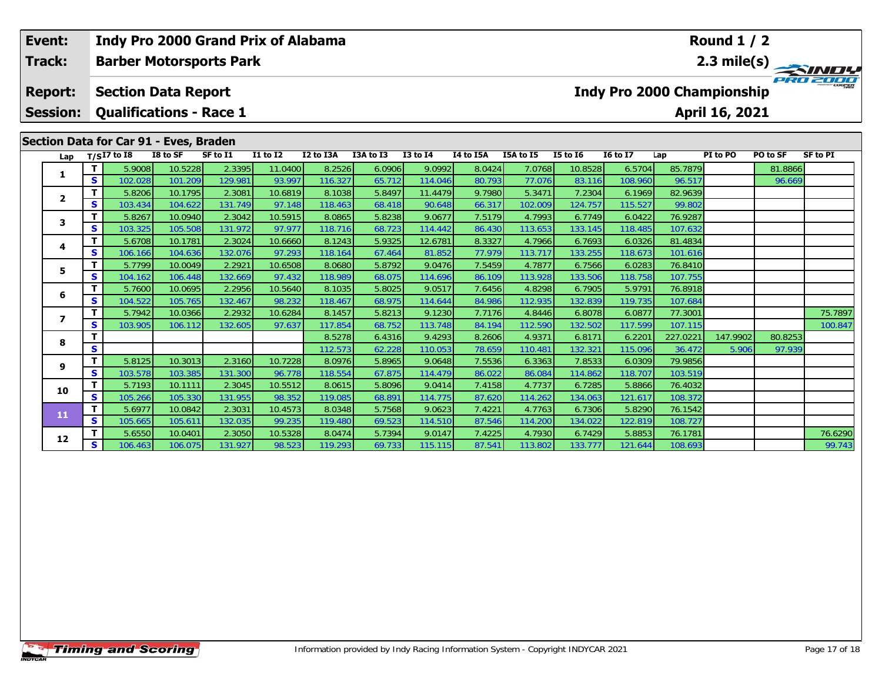| Event:<br><b>Track:</b> |              | Indy Pro 2000 Grand Prix of Alabama    |                    |                   |                                    | Round $1/2$<br>2.3 mile(s) |                  |                                              |                  |                   |                   |                   |                    |          |          |                 |  |
|-------------------------|--------------|----------------------------------------|--------------------|-------------------|------------------------------------|----------------------------|------------------|----------------------------------------------|------------------|-------------------|-------------------|-------------------|--------------------|----------|----------|-----------------|--|
|                         |              | <b>Barber Motorsports Park</b>         |                    |                   |                                    |                            |                  |                                              |                  |                   |                   |                   |                    |          |          |                 |  |
| <b>Report:</b>          |              | <b>Section Data Report</b>             |                    |                   |                                    |                            |                  | Indy Pro 2000 Championship<br>April 16, 2021 |                  |                   |                   |                   |                    |          |          |                 |  |
| <b>Session:</b>         |              | <b>Qualifications - Race 1</b>         |                    |                   |                                    |                            |                  |                                              |                  |                   |                   |                   |                    |          |          |                 |  |
|                         |              | Section Data for Car 91 - Eves, Braden |                    |                   |                                    |                            |                  |                                              |                  |                   |                   |                   |                    |          |          |                 |  |
| Lap                     |              | $T/SI7$ to 18                          | I8 to SF           | SF to I1          | $\overline{11}$ to $\overline{12}$ | I2 to I3A                  | I3A to I3        | <b>I3 to I4</b>                              | I4 to I5A        | I5A to I5         | <b>I5 to 16</b>   | <b>I6 to I7</b>   | Lap                | PI to PO | PO to SF | <b>SF to PI</b> |  |
| 1                       | т            | 5.9008                                 | 10.5228            | 2.3395            | 11.0400                            | 8.2526                     | 6.0906           | 9.0992                                       | 8.0424           | 7.0768            | 10.8528           | 6.5704            | 85.7879            |          | 81.8866  |                 |  |
|                         | S            | 102.028                                | 101.209            | 129.981           | 93.997                             | 116.327                    | 65.712           | 114.046                                      | 80.793           | 77.076            | 83.116            | 108.960           | 96.517             |          | 96.669   |                 |  |
| $\mathbf{2}$            | Т            | 5.8206                                 | 10.1795            | 2.3081            | 10.6819                            | 8.1038                     | 5.8497           | 11.4479                                      | 9.7980           | 5.3471            | 7.2304            | 6.1969            | 82.9639            |          |          |                 |  |
|                         | $\mathbf{s}$ | 103.434                                | 104.622            | 131.749           | 97.148                             | 118.463                    | 68.418           | 90.648                                       | 66.317           | 102.009           | 124.757           | 115.527           | 99.802             |          |          |                 |  |
| 3                       | $\mathbf T$  | 5.8267                                 | 10.0940            | 2.3042            | 10.5915                            | 8.0865                     | 5.8238           | 9.0677                                       | 7.5179           | 4.7993            | 6.7749            | 6.0422            | 76.9287            |          |          |                 |  |
|                         | $\mathbf{s}$ | 103.325                                | 105.508            | 131.972           | 97.977                             | 118.716                    | 68.723           | 114.442                                      | 86.430           | 113.653           | 133.145           | 118.485           | 107.632            |          |          |                 |  |
| 4                       | Т<br>S       | 5.6708                                 | 10.1781            | 2.3024            | 10.6660<br>97.293                  | 8.1243                     | 5.9325           | 12.6781                                      | 8.3327           | 4.7966            | 6.7693            | 6.0326            | 81.4834            |          |          |                 |  |
|                         | T            | 106.166<br>5.7799                      | 104.636<br>10.0049 | 132.076<br>2.2921 | 10.6508                            | 118.164<br>8.0680          | 67.464<br>5.8792 | 81.852<br>9.0476                             | 77.979<br>7.5459 | 113.717<br>4.7877 | 133.255<br>6.7566 | 118.673<br>6.0283 | 101.616<br>76.8410 |          |          |                 |  |
| 5                       | S            | 104.162                                | 106.448            | 132.669           | 97.432                             | 118.989                    | 68.075           | 114.696                                      | 86.109           | 113.928           | 133.506           | 118.758           | 107.755            |          |          |                 |  |
|                         | т            | 5.7600                                 | 10.0695            | 2.2956            | 10.5640                            | 8.1035                     | 5.8025           | 9.0517                                       | 7.6456           | 4.8298            | 6.7905            | 5.9791            | 76.8918            |          |          |                 |  |
| 6                       | $\mathbf{s}$ | 104.522                                | 105.765            | 132.467           | 98.232                             | 118.467                    | 68.975           | 114.644                                      | 84.986           | 112.935           | 132.839           | 119.735           | 107.684            |          |          |                 |  |
|                         | т            | 5.7942                                 | 10.0366            | 2.2932            | 10.6284                            | 8.1457                     | 5.8213           | 9.1230                                       | 7.7176           | 4.8446            | 6.8078            | 6.0877            | 77.3001            |          |          | 75.7897         |  |
| 7                       | S            | 103.905                                | 106.112            | 132.605           | 97.637                             | 117.854                    | 68.752           | 113.748                                      | 84.194           | 112.590           | 132.502           | 117.599           | 107.115            |          |          | 100.847         |  |
|                         | T            |                                        |                    |                   |                                    | 8.5278                     | 6.4316           | 9.4293                                       | 8.2606           | 4.9371            | 6.8171            | 6.2201            | 227.0221           | 147.9902 | 80.8253  |                 |  |
| 8                       | $\mathbf{s}$ |                                        |                    |                   |                                    | 112.573                    | 62.228           | 110.053                                      | 78.659           | 110.481           | 132.321           | 115.096           | 36.472             | 5.906    | 97.939   |                 |  |
| 9                       | T            | 5.8125                                 | 10.3013            | 2.3160            | 10.7228                            | 8.0976                     | 5.8965           | 9.0648                                       | 7.5536           | 6.3363            | 7.8533            | 6.0309            | 79.9856            |          |          |                 |  |
|                         | S            | 103.578                                | 103.385            | 131.300           | 96.778                             | 118.554                    | 67.875           | 114.479                                      | 86.022           | 86.084            | 114.862           | 118.707           | 103.519            |          |          |                 |  |
| 10                      | Т            | 5.7193                                 | 10.1111            | 2.3045            | 10.5512                            | 8.0615                     | 5.8096           | 9.0414                                       | 7.4158           | 4.7737            | 6.7285            | 5.8866            | 76.4032            |          |          |                 |  |
|                         | $\mathbf{s}$ | 105.266                                | 105.330            | 131.955           | 98.352                             | 119.085                    | 68.891           | 114.775                                      | 87.620           | 114.262           | 134.063           | 121.617           | 108.372            |          |          |                 |  |
| 11                      | $\mathbf T$  | 5.6977                                 | 10.0842            | 2.3031            | 10.4573                            | 8.0348                     | 5.7568           | 9.0623                                       | 7.4221           | 4.7763            | 6.7306            | 5.8290            | 76.1542            |          |          |                 |  |
|                         | S            | 105.665                                | 105.611            | 132.035           | 99.235                             | 119.480                    | 69.523           | 114.510                                      | 87.546           | 114.200           | 134.022           | 122.819           | 108.727            |          |          |                 |  |
| 12                      | т            | 5.6550                                 | 10.0401            | 2.3050            | 10.5328                            | 8.0474                     | 5.7394           | 9.0147                                       | 7.4225           | 4.7930            | 6.7429            | 5.8853            | 76.1781            |          |          | 76.6290         |  |
|                         | <b>S</b>     | 106.463                                | 106.075            | 131.927           | 98.523                             | 119.293                    | 69.733           | 115.115                                      | 87.541           | 113.802           | 133.777           | 121.644           | 108.693            |          |          | 99.743          |  |